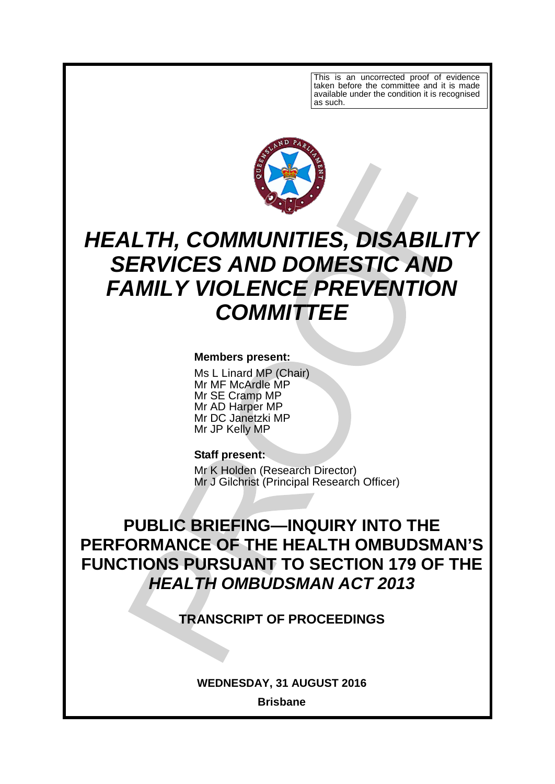This is an uncorrected proof of evidence taken before the committee and it is made available under the condition it is recognised as such.



# *HEALTH, COMMUNITIES, DISABILITY SERVICES AND DOMESTIC AND FAMILY VIOLENCE PREVENTION COMMITTEE*

### **Members present:**

Ms L Linard MP (Chair) Mr MF McArdle MP Mr SE Cramp MP Mr AD Harper MP Mr DC Janetzki MP Mr JP Kelly MP

#### **Staff present:**

Mr K Holden (Research Director) Mr J Gilchrist (Principal Research Officer)

**PUBLIC BRIEFING—INQUIRY INTO THE PERFORMANCE OF THE HEALTH OMBUDSMAN'S FUNCTIONS PURSUANT TO SECTION 179 OF THE** *HEALTH OMBUDSMAN ACT 2013*

**TRANSCRIPT OF PROCEEDINGS**

**WEDNESDAY, 31 AUGUST 2016**

**Brisbane**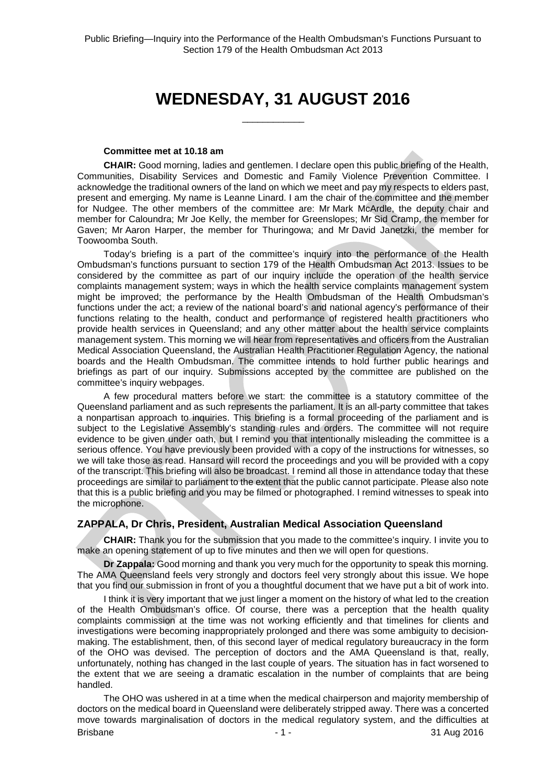## **WEDNESDAY, 31 AUGUST 2016**

 $\overline{\phantom{a}}$  , where  $\overline{\phantom{a}}$ 

#### **Committee met at 10.18 am**

**CHAIR:** Good morning, ladies and gentlemen. I declare open this public briefing of the Health, Communities, Disability Services and Domestic and Family Violence Prevention Committee. I acknowledge the traditional owners of the land on which we meet and pay my respects to elders past, present and emerging. My name is Leanne Linard. I am the chair of the committee and the member for Nudgee. The other members of the committee are: Mr Mark McArdle, the deputy chair and member for Caloundra; Mr Joe Kelly, the member for Greenslopes; Mr Sid Cramp, the member for Gaven; Mr Aaron Harper, the member for Thuringowa; and Mr David Janetzki, the member for Toowoomba South.

Today's briefing is a part of the committee's inquiry into the performance of the Health Ombudsman's functions pursuant to section 179 of the Health Ombudsman Act 2013. Issues to be considered by the committee as part of our inquiry include the operation of the health service complaints management system; ways in which the health service complaints management system might be improved; the performance by the Health Ombudsman of the Health Ombudsman's functions under the act; a review of the national board's and national agency's performance of their functions relating to the health, conduct and performance of registered health practitioners who provide health services in Queensland; and any other matter about the health service complaints management system. This morning we will hear from representatives and officers from the Australian Medical Association Queensland, the Australian Health Practitioner Regulation Agency, the national boards and the Health Ombudsman. The committee intends to hold further public hearings and briefings as part of our inquiry. Submissions accepted by the committee are published on the committee's inquiry webpages.

A few procedural matters before we start: the committee is a statutory committee of the Queensland parliament and as such represents the parliament. It is an all-party committee that takes a nonpartisan approach to inquiries. This briefing is a formal proceeding of the parliament and is subject to the Legislative Assembly's standing rules and orders. The committee will not require evidence to be given under oath, but I remind you that intentionally misleading the committee is a serious offence. You have previously been provided with a copy of the instructions for witnesses, so we will take those as read. Hansard will record the proceedings and you will be provided with a copy of the transcript. This briefing will also be broadcast. I remind all those in attendance today that these proceedings are similar to parliament to the extent that the public cannot participate. Please also note that this is a public briefing and you may be filmed or photographed. I remind witnesses to speak into the microphone.

#### **ZAPPALA, Dr Chris, President, Australian Medical Association Queensland**

**CHAIR:** Thank you for the submission that you made to the committee's inquiry. I invite you to make an opening statement of up to five minutes and then we will open for questions.

**Dr Zappala:** Good morning and thank you very much for the opportunity to speak this morning. The AMA Queensland feels very strongly and doctors feel very strongly about this issue. We hope that you find our submission in front of you a thoughtful document that we have put a bit of work into.

I think it is very important that we just linger a moment on the history of what led to the creation of the Health Ombudsman's office. Of course, there was a perception that the health quality complaints commission at the time was not working efficiently and that timelines for clients and investigations were becoming inappropriately prolonged and there was some ambiguity to decisionmaking. The establishment, then, of this second layer of medical regulatory bureaucracy in the form of the OHO was devised. The perception of doctors and the AMA Queensland is that, really, unfortunately, nothing has changed in the last couple of years. The situation has in fact worsened to the extent that we are seeing a dramatic escalation in the number of complaints that are being handled.

Brisbane - 1 - 31 Aug 2016 The OHO was ushered in at a time when the medical chairperson and majority membership of doctors on the medical board in Queensland were deliberately stripped away. There was a concerted move towards marginalisation of doctors in the medical regulatory system, and the difficulties at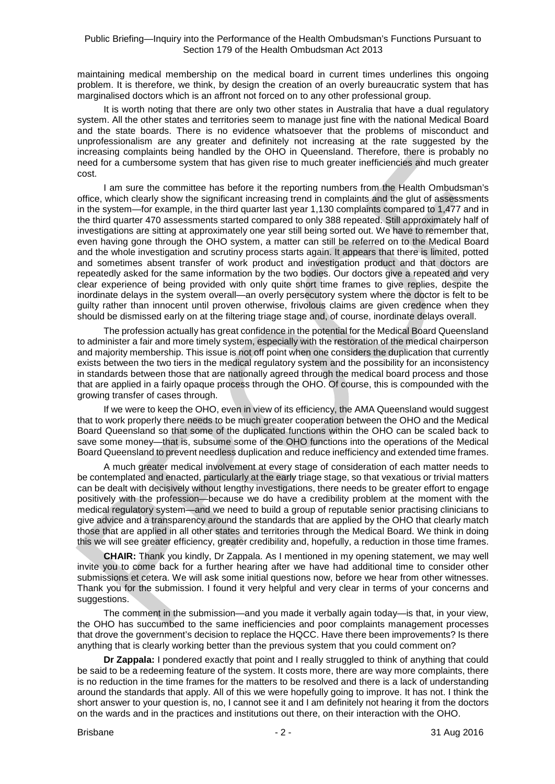maintaining medical membership on the medical board in current times underlines this ongoing problem. It is therefore, we think, by design the creation of an overly bureaucratic system that has marginalised doctors which is an affront not forced on to any other professional group.

It is worth noting that there are only two other states in Australia that have a dual regulatory system. All the other states and territories seem to manage just fine with the national Medical Board and the state boards. There is no evidence whatsoever that the problems of misconduct and unprofessionalism are any greater and definitely not increasing at the rate suggested by the increasing complaints being handled by the OHO in Queensland. Therefore, there is probably no need for a cumbersome system that has given rise to much greater inefficiencies and much greater cost.

I am sure the committee has before it the reporting numbers from the Health Ombudsman's office, which clearly show the significant increasing trend in complaints and the glut of assessments in the system—for example, in the third quarter last year 1,130 complaints compared to 1,477 and in the third quarter 470 assessments started compared to only 388 repeated. Still approximately half of investigations are sitting at approximately one year still being sorted out. We have to remember that, even having gone through the OHO system, a matter can still be referred on to the Medical Board and the whole investigation and scrutiny process starts again. It appears that there is limited, potted and sometimes absent transfer of work product and investigation product and that doctors are repeatedly asked for the same information by the two bodies. Our doctors give a repeated and very clear experience of being provided with only quite short time frames to give replies, despite the inordinate delays in the system overall—an overly persecutory system where the doctor is felt to be guilty rather than innocent until proven otherwise, frivolous claims are given credence when they should be dismissed early on at the filtering triage stage and, of course, inordinate delays overall.

The profession actually has great confidence in the potential for the Medical Board Queensland to administer a fair and more timely system, especially with the restoration of the medical chairperson and majority membership. This issue is not off point when one considers the duplication that currently exists between the two tiers in the medical regulatory system and the possibility for an inconsistency in standards between those that are nationally agreed through the medical board process and those that are applied in a fairly opaque process through the OHO. Of course, this is compounded with the growing transfer of cases through.

If we were to keep the OHO, even in view of its efficiency, the AMA Queensland would suggest that to work properly there needs to be much greater cooperation between the OHO and the Medical Board Queensland so that some of the duplicated functions within the OHO can be scaled back to save some money—that is, subsume some of the OHO functions into the operations of the Medical Board Queensland to prevent needless duplication and reduce inefficiency and extended time frames.

A much greater medical involvement at every stage of consideration of each matter needs to be contemplated and enacted, particularly at the early triage stage, so that vexatious or trivial matters can be dealt with decisively without lengthy investigations, there needs to be greater effort to engage positively with the profession—because we do have a credibility problem at the moment with the medical regulatory system—and we need to build a group of reputable senior practising clinicians to give advice and a transparency around the standards that are applied by the OHO that clearly match those that are applied in all other states and territories through the Medical Board. We think in doing this we will see greater efficiency, greater credibility and, hopefully, a reduction in those time frames.

**CHAIR:** Thank you kindly, Dr Zappala. As I mentioned in my opening statement, we may well invite you to come back for a further hearing after we have had additional time to consider other submissions et cetera. We will ask some initial questions now, before we hear from other witnesses. Thank you for the submission. I found it very helpful and very clear in terms of your concerns and suggestions.

The comment in the submission—and you made it verbally again today—is that, in your view, the OHO has succumbed to the same inefficiencies and poor complaints management processes that drove the government's decision to replace the HQCC. Have there been improvements? Is there anything that is clearly working better than the previous system that you could comment on?

**Dr Zappala:** I pondered exactly that point and I really struggled to think of anything that could be said to be a redeeming feature of the system. It costs more, there are way more complaints, there is no reduction in the time frames for the matters to be resolved and there is a lack of understanding around the standards that apply. All of this we were hopefully going to improve. It has not. I think the short answer to your question is, no, I cannot see it and I am definitely not hearing it from the doctors on the wards and in the practices and institutions out there, on their interaction with the OHO.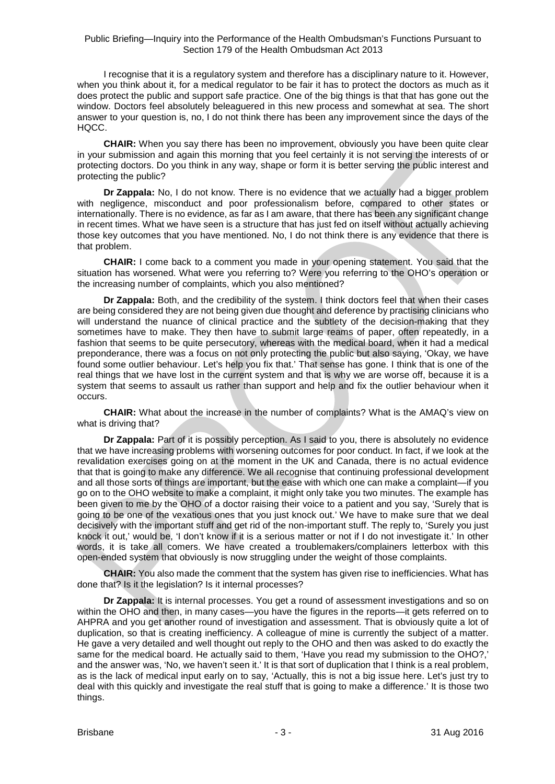I recognise that it is a regulatory system and therefore has a disciplinary nature to it. However, when you think about it, for a medical regulator to be fair it has to protect the doctors as much as it does protect the public and support safe practice. One of the big things is that that has gone out the window. Doctors feel absolutely beleaguered in this new process and somewhat at sea. The short answer to your question is, no, I do not think there has been any improvement since the days of the HQCC.

**CHAIR:** When you say there has been no improvement, obviously you have been quite clear in your submission and again this morning that you feel certainly it is not serving the interests of or protecting doctors. Do you think in any way, shape or form it is better serving the public interest and protecting the public?

**Dr Zappala:** No, I do not know. There is no evidence that we actually had a bigger problem with negligence, misconduct and poor professionalism before, compared to other states or internationally. There is no evidence, as far as I am aware, that there has been any significant change in recent times. What we have seen is a structure that has just fed on itself without actually achieving those key outcomes that you have mentioned. No, I do not think there is any evidence that there is that problem.

**CHAIR:** I come back to a comment you made in your opening statement. You said that the situation has worsened. What were you referring to? Were you referring to the OHO's operation or the increasing number of complaints, which you also mentioned?

**Dr Zappala:** Both, and the credibility of the system. I think doctors feel that when their cases are being considered they are not being given due thought and deference by practising clinicians who will understand the nuance of clinical practice and the subtlety of the decision-making that they sometimes have to make. They then have to submit large reams of paper, often repeatedly, in a fashion that seems to be quite persecutory, whereas with the medical board, when it had a medical preponderance, there was a focus on not only protecting the public but also saying, 'Okay, we have found some outlier behaviour. Let's help you fix that.' That sense has gone. I think that is one of the real things that we have lost in the current system and that is why we are worse off, because it is a system that seems to assault us rather than support and help and fix the outlier behaviour when it occurs.

**CHAIR:** What about the increase in the number of complaints? What is the AMAQ's view on what is driving that?

**Dr Zappala:** Part of it is possibly perception. As I said to you, there is absolutely no evidence that we have increasing problems with worsening outcomes for poor conduct. In fact, if we look at the revalidation exercises going on at the moment in the UK and Canada, there is no actual evidence that that is going to make any difference. We all recognise that continuing professional development and all those sorts of things are important, but the ease with which one can make a complaint—if you go on to the OHO website to make a complaint, it might only take you two minutes. The example has been given to me by the OHO of a doctor raising their voice to a patient and you say, 'Surely that is going to be one of the vexatious ones that you just knock out.' We have to make sure that we deal decisively with the important stuff and get rid of the non-important stuff. The reply to, 'Surely you just knock it out,' would be, 'I don't know if it is a serious matter or not if I do not investigate it.' In other words, it is take all comers. We have created a troublemakers/complainers letterbox with this open-ended system that obviously is now struggling under the weight of those complaints.

**CHAIR:** You also made the comment that the system has given rise to inefficiencies. What has done that? Is it the legislation? Is it internal processes?

**Dr Zappala:** It is internal processes. You get a round of assessment investigations and so on within the OHO and then, in many cases—you have the figures in the reports—it gets referred on to AHPRA and you get another round of investigation and assessment. That is obviously quite a lot of duplication, so that is creating inefficiency. A colleague of mine is currently the subject of a matter. He gave a very detailed and well thought out reply to the OHO and then was asked to do exactly the same for the medical board. He actually said to them, 'Have you read my submission to the OHO?,' and the answer was, 'No, we haven't seen it.' It is that sort of duplication that I think is a real problem, as is the lack of medical input early on to say, 'Actually, this is not a big issue here. Let's just try to deal with this quickly and investigate the real stuff that is going to make a difference.' It is those two things.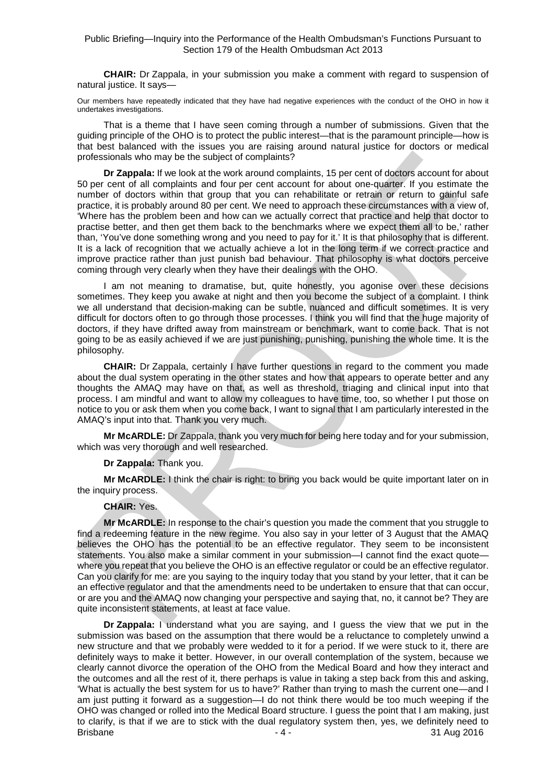**CHAIR:** Dr Zappala, in your submission you make a comment with regard to suspension of natural justice. It says—

Our members have repeatedly indicated that they have had negative experiences with the conduct of the OHO in how it undertakes investigations.

That is a theme that I have seen coming through a number of submissions. Given that the guiding principle of the OHO is to protect the public interest—that is the paramount principle—how is that best balanced with the issues you are raising around natural justice for doctors or medical professionals who may be the subject of complaints?

**Dr Zappala:** If we look at the work around complaints, 15 per cent of doctors account for about 50 per cent of all complaints and four per cent account for about one-quarter. If you estimate the number of doctors within that group that you can rehabilitate or retrain or return to gainful safe practice, it is probably around 80 per cent. We need to approach these circumstances with a view of, 'Where has the problem been and how can we actually correct that practice and help that doctor to practise better, and then get them back to the benchmarks where we expect them all to be,' rather than, 'You've done something wrong and you need to pay for it.' It is that philosophy that is different. It is a lack of recognition that we actually achieve a lot in the long term if we correct practice and improve practice rather than just punish bad behaviour. That philosophy is what doctors perceive coming through very clearly when they have their dealings with the OHO.

I am not meaning to dramatise, but, quite honestly, you agonise over these decisions sometimes. They keep you awake at night and then you become the subject of a complaint. I think we all understand that decision-making can be subtle, nuanced and difficult sometimes. It is very difficult for doctors often to go through those processes. I think you will find that the huge majority of doctors, if they have drifted away from mainstream or benchmark, want to come back. That is not going to be as easily achieved if we are just punishing, punishing, punishing the whole time. It is the philosophy.

**CHAIR:** Dr Zappala, certainly I have further questions in regard to the comment you made about the dual system operating in the other states and how that appears to operate better and any thoughts the AMAQ may have on that, as well as threshold, triaging and clinical input into that process. I am mindful and want to allow my colleagues to have time, too, so whether I put those on notice to you or ask them when you come back, I want to signal that I am particularly interested in the AMAQ's input into that. Thank you very much.

**Mr McARDLE:** Dr Zappala, thank you very much for being here today and for your submission, which was very thorough and well researched.

**Dr Zappala:** Thank you.

**Mr McARDLE:** I think the chair is right: to bring you back would be quite important later on in the inquiry process.

#### **CHAIR:** Yes.

**Mr McARDLE:** In response to the chair's question you made the comment that you struggle to find a redeeming feature in the new regime. You also say in your letter of 3 August that the AMAQ believes the OHO has the potential to be an effective regulator. They seem to be inconsistent statements. You also make a similar comment in your submission—I cannot find the exact quote where you repeat that you believe the OHO is an effective regulator or could be an effective regulator. Can you clarify for me: are you saying to the inquiry today that you stand by your letter, that it can be an effective regulator and that the amendments need to be undertaken to ensure that that can occur, or are you and the AMAQ now changing your perspective and saying that, no, it cannot be? They are quite inconsistent statements, at least at face value.

Brisbane - 4 - 31 Aug 2016 **Dr Zappala:** I understand what you are saying, and I guess the view that we put in the submission was based on the assumption that there would be a reluctance to completely unwind a new structure and that we probably were wedded to it for a period. If we were stuck to it, there are definitely ways to make it better. However, in our overall contemplation of the system, because we clearly cannot divorce the operation of the OHO from the Medical Board and how they interact and the outcomes and all the rest of it, there perhaps is value in taking a step back from this and asking, 'What is actually the best system for us to have?' Rather than trying to mash the current one—and I am just putting it forward as a suggestion—I do not think there would be too much weeping if the OHO was changed or rolled into the Medical Board structure. I guess the point that I am making, just to clarify, is that if we are to stick with the dual regulatory system then, yes, we definitely need to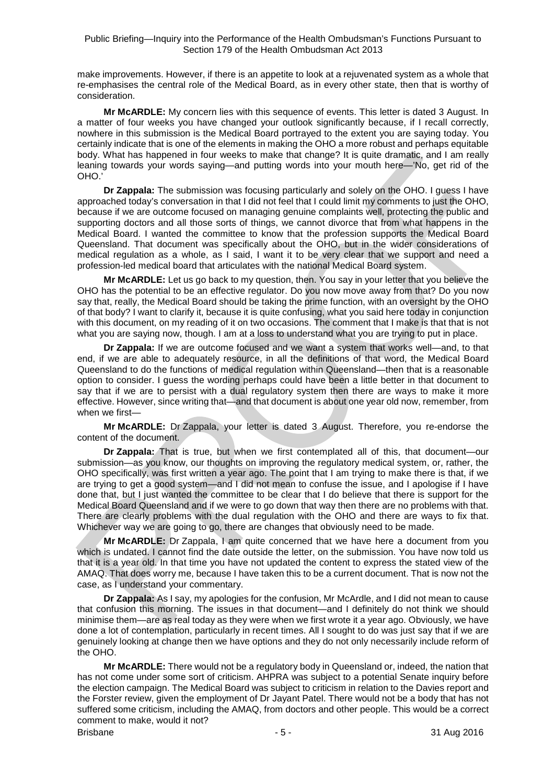make improvements. However, if there is an appetite to look at a rejuvenated system as a whole that re-emphasises the central role of the Medical Board, as in every other state, then that is worthy of consideration.

**Mr McARDLE:** My concern lies with this sequence of events. This letter is dated 3 August. In a matter of four weeks you have changed your outlook significantly because, if I recall correctly, nowhere in this submission is the Medical Board portrayed to the extent you are saying today. You certainly indicate that is one of the elements in making the OHO a more robust and perhaps equitable body. What has happened in four weeks to make that change? It is quite dramatic, and I am really leaning towards your words saying—and putting words into your mouth here—'No, get rid of the OHO.'

**Dr Zappala:** The submission was focusing particularly and solely on the OHO. I guess I have approached today's conversation in that I did not feel that I could limit my comments to just the OHO, because if we are outcome focused on managing genuine complaints well, protecting the public and supporting doctors and all those sorts of things, we cannot divorce that from what happens in the Medical Board. I wanted the committee to know that the profession supports the Medical Board Queensland. That document was specifically about the OHO, but in the wider considerations of medical regulation as a whole, as I said, I want it to be very clear that we support and need a profession-led medical board that articulates with the national Medical Board system.

**Mr McARDLE:** Let us go back to my question, then. You say in your letter that you believe the OHO has the potential to be an effective regulator. Do you now move away from that? Do you now say that, really, the Medical Board should be taking the prime function, with an oversight by the OHO of that body? I want to clarify it, because it is quite confusing, what you said here today in conjunction with this document, on my reading of it on two occasions. The comment that I make is that that is not what you are saying now, though. I am at a loss to understand what you are trying to put in place.

**Dr Zappala:** If we are outcome focused and we want a system that works well—and, to that end, if we are able to adequately resource, in all the definitions of that word, the Medical Board Queensland to do the functions of medical regulation within Queensland—then that is a reasonable option to consider. I guess the wording perhaps could have been a little better in that document to say that if we are to persist with a dual regulatory system then there are ways to make it more effective. However, since writing that—and that document is about one year old now, remember, from when we first—

**Mr McARDLE:** Dr Zappala, your letter is dated 3 August. Therefore, you re-endorse the content of the document.

**Dr Zappala:** That is true, but when we first contemplated all of this, that document—our submission—as you know, our thoughts on improving the regulatory medical system, or, rather, the OHO specifically, was first written a year ago. The point that I am trying to make there is that, if we are trying to get a good system—and I did not mean to confuse the issue, and I apologise if I have done that, but I just wanted the committee to be clear that I do believe that there is support for the Medical Board Queensland and if we were to go down that way then there are no problems with that. There are clearly problems with the dual regulation with the OHO and there are ways to fix that. Whichever way we are going to go, there are changes that obviously need to be made.

**Mr McARDLE:** Dr Zappala, I am quite concerned that we have here a document from you which is undated. I cannot find the date outside the letter, on the submission. You have now told us that it is a year old. In that time you have not updated the content to express the stated view of the AMAQ. That does worry me, because I have taken this to be a current document. That is now not the case, as I understand your commentary.

**Dr Zappala:** As I say, my apologies for the confusion, Mr McArdle, and I did not mean to cause that confusion this morning. The issues in that document—and I definitely do not think we should minimise them—are as real today as they were when we first wrote it a year ago. Obviously, we have done a lot of contemplation, particularly in recent times. All I sought to do was just say that if we are genuinely looking at change then we have options and they do not only necessarily include reform of the OHO.

**Mr McARDLE:** There would not be a regulatory body in Queensland or, indeed, the nation that has not come under some sort of criticism. AHPRA was subject to a potential Senate inquiry before the election campaign. The Medical Board was subject to criticism in relation to the Davies report and the Forster review, given the employment of Dr Jayant Patel. There would not be a body that has not suffered some criticism, including the AMAQ, from doctors and other people. This would be a correct comment to make, would it not?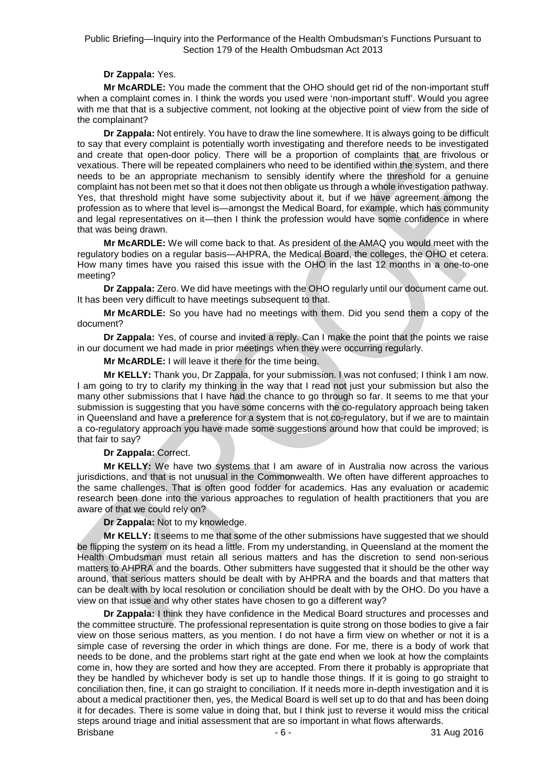#### **Dr Zappala:** Yes.

**Mr McARDLE:** You made the comment that the OHO should get rid of the non-important stuff when a complaint comes in. I think the words you used were 'non-important stuff'. Would you agree with me that that is a subjective comment, not looking at the objective point of view from the side of the complainant?

**Dr Zappala:** Not entirely. You have to draw the line somewhere. It is always going to be difficult to say that every complaint is potentially worth investigating and therefore needs to be investigated and create that open-door policy. There will be a proportion of complaints that are frivolous or vexatious. There will be repeated complainers who need to be identified within the system, and there needs to be an appropriate mechanism to sensibly identify where the threshold for a genuine complaint has not been met so that it does not then obligate us through a whole investigation pathway. Yes, that threshold might have some subjectivity about it, but if we have agreement among the profession as to where that level is—amongst the Medical Board, for example, which has community and legal representatives on it—then I think the profession would have some confidence in where that was being drawn.

**Mr McARDLE:** We will come back to that. As president of the AMAQ you would meet with the regulatory bodies on a regular basis—AHPRA, the Medical Board, the colleges, the OHO et cetera. How many times have you raised this issue with the OHO in the last 12 months in a one-to-one meeting?

**Dr Zappala:** Zero. We did have meetings with the OHO regularly until our document came out. It has been very difficult to have meetings subsequent to that.

**Mr McARDLE:** So you have had no meetings with them. Did you send them a copy of the document?

**Dr Zappala:** Yes, of course and invited a reply. Can I make the point that the points we raise in our document we had made in prior meetings when they were occurring regularly.

**Mr McARDLE:** I will leave it there for the time being.

**Mr KELLY:** Thank you, Dr Zappala, for your submission. I was not confused; I think I am now. I am going to try to clarify my thinking in the way that I read not just your submission but also the many other submissions that I have had the chance to go through so far. It seems to me that your submission is suggesting that you have some concerns with the co-regulatory approach being taken in Queensland and have a preference for a system that is not co-regulatory, but if we are to maintain a co-regulatory approach you have made some suggestions around how that could be improved; is that fair to say?

#### **Dr Zappala:** Correct.

**Mr KELLY:** We have two systems that I am aware of in Australia now across the various jurisdictions, and that is not unusual in the Commonwealth. We often have different approaches to the same challenges. That is often good fodder for academics. Has any evaluation or academic research been done into the various approaches to regulation of health practitioners that you are aware of that we could rely on?

**Dr Zappala:** Not to my knowledge.

**Mr KELLY:** It seems to me that some of the other submissions have suggested that we should be flipping the system on its head a little. From my understanding, in Queensland at the moment the Health Ombudsman must retain all serious matters and has the discretion to send non-serious matters to AHPRA and the boards. Other submitters have suggested that it should be the other way around, that serious matters should be dealt with by AHPRA and the boards and that matters that can be dealt with by local resolution or conciliation should be dealt with by the OHO. Do you have a view on that issue and why other states have chosen to go a different way?

Brisbane - 6 - 31 Aug 2016 **Dr Zappala:** I think they have confidence in the Medical Board structures and processes and the committee structure. The professional representation is quite strong on those bodies to give a fair view on those serious matters, as you mention. I do not have a firm view on whether or not it is a simple case of reversing the order in which things are done. For me, there is a body of work that needs to be done, and the problems start right at the gate end when we look at how the complaints come in, how they are sorted and how they are accepted. From there it probably is appropriate that they be handled by whichever body is set up to handle those things. If it is going to go straight to conciliation then, fine, it can go straight to conciliation. If it needs more in-depth investigation and it is about a medical practitioner then, yes, the Medical Board is well set up to do that and has been doing it for decades. There is some value in doing that, but I think just to reverse it would miss the critical steps around triage and initial assessment that are so important in what flows afterwards.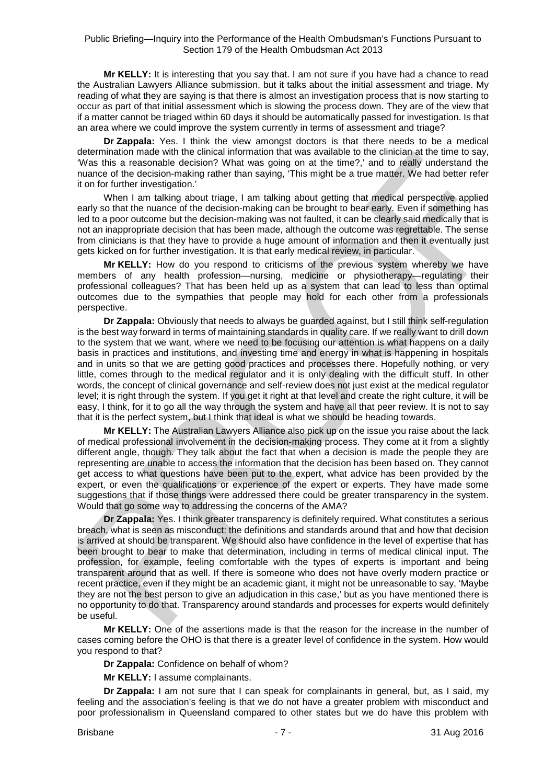**Mr KELLY:** It is interesting that you say that. I am not sure if you have had a chance to read the Australian Lawyers Alliance submission, but it talks about the initial assessment and triage. My reading of what they are saying is that there is almost an investigation process that is now starting to occur as part of that initial assessment which is slowing the process down. They are of the view that if a matter cannot be triaged within 60 days it should be automatically passed for investigation. Is that an area where we could improve the system currently in terms of assessment and triage?

**Dr Zappala:** Yes. I think the view amongst doctors is that there needs to be a medical determination made with the clinical information that was available to the clinician at the time to say, 'Was this a reasonable decision? What was going on at the time?,' and to really understand the nuance of the decision-making rather than saying, 'This might be a true matter. We had better refer it on for further investigation.'

When I am talking about triage, I am talking about getting that medical perspective applied early so that the nuance of the decision-making can be brought to bear early. Even if something has led to a poor outcome but the decision-making was not faulted, it can be clearly said medically that is not an inappropriate decision that has been made, although the outcome was regrettable. The sense from clinicians is that they have to provide a huge amount of information and then it eventually just gets kicked on for further investigation. It is that early medical review, in particular.

**Mr KELLY:** How do you respond to criticisms of the previous system whereby we have members of any health profession—nursing, medicine or physiotherapy—regulating their professional colleagues? That has been held up as a system that can lead to less than optimal outcomes due to the sympathies that people may hold for each other from a professionals perspective.

**Dr Zappala:** Obviously that needs to always be guarded against, but I still think self-regulation is the best way forward in terms of maintaining standards in quality care. If we really want to drill down to the system that we want, where we need to be focusing our attention is what happens on a daily basis in practices and institutions, and investing time and energy in what is happening in hospitals and in units so that we are getting good practices and processes there. Hopefully nothing, or very little, comes through to the medical regulator and it is only dealing with the difficult stuff. In other words, the concept of clinical governance and self-review does not just exist at the medical regulator level; it is right through the system. If you get it right at that level and create the right culture, it will be easy, I think, for it to go all the way through the system and have all that peer review. It is not to say that it is the perfect system, but I think that ideal is what we should be heading towards.

**Mr KELLY:** The Australian Lawyers Alliance also pick up on the issue you raise about the lack of medical professional involvement in the decision-making process. They come at it from a slightly different angle, though. They talk about the fact that when a decision is made the people they are representing are unable to access the information that the decision has been based on. They cannot get access to what questions have been put to the expert, what advice has been provided by the expert, or even the qualifications or experience of the expert or experts. They have made some suggestions that if those things were addressed there could be greater transparency in the system. Would that go some way to addressing the concerns of the AMA?

**Dr Zappala:** Yes. I think greater transparency is definitely required. What constitutes a serious breach, what is seen as misconduct: the definitions and standards around that and how that decision is arrived at should be transparent. We should also have confidence in the level of expertise that has been brought to bear to make that determination, including in terms of medical clinical input. The profession, for example, feeling comfortable with the types of experts is important and being transparent around that as well. If there is someone who does not have overly modern practice or recent practice, even if they might be an academic giant, it might not be unreasonable to say, 'Maybe they are not the best person to give an adjudication in this case,' but as you have mentioned there is no opportunity to do that. Transparency around standards and processes for experts would definitely be useful.

**Mr KELLY:** One of the assertions made is that the reason for the increase in the number of cases coming before the OHO is that there is a greater level of confidence in the system. How would you respond to that?

**Dr Zappala:** Confidence on behalf of whom?

**Mr KELLY:** I assume complainants.

**Dr Zappala:** I am not sure that I can speak for complainants in general, but, as I said, my feeling and the association's feeling is that we do not have a greater problem with misconduct and poor professionalism in Queensland compared to other states but we do have this problem with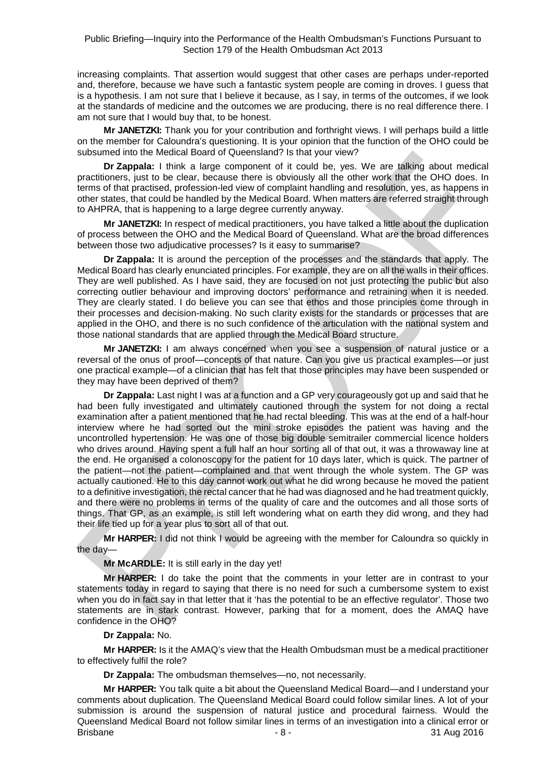increasing complaints. That assertion would suggest that other cases are perhaps under-reported and, therefore, because we have such a fantastic system people are coming in droves. I guess that is a hypothesis. I am not sure that I believe it because, as I say, in terms of the outcomes, if we look at the standards of medicine and the outcomes we are producing, there is no real difference there. I am not sure that I would buy that, to be honest.

**Mr JANETZKI:** Thank you for your contribution and forthright views. I will perhaps build a little on the member for Caloundra's questioning. It is your opinion that the function of the OHO could be subsumed into the Medical Board of Queensland? Is that your view?

**Dr Zappala:** I think a large component of it could be, yes. We are talking about medical practitioners, just to be clear, because there is obviously all the other work that the OHO does. In terms of that practised, profession-led view of complaint handling and resolution, yes, as happens in other states, that could be handled by the Medical Board. When matters are referred straight through to AHPRA, that is happening to a large degree currently anyway.

**Mr JANETZKI:** In respect of medical practitioners, you have talked a little about the duplication of process between the OHO and the Medical Board of Queensland. What are the broad differences between those two adjudicative processes? Is it easy to summarise?

**Dr Zappala:** It is around the perception of the processes and the standards that apply. The Medical Board has clearly enunciated principles. For example, they are on all the walls in their offices. They are well published. As I have said, they are focused on not just protecting the public but also correcting outlier behaviour and improving doctors' performance and retraining when it is needed. They are clearly stated. I do believe you can see that ethos and those principles come through in their processes and decision-making. No such clarity exists for the standards or processes that are applied in the OHO, and there is no such confidence of the articulation with the national system and those national standards that are applied through the Medical Board structure.

**Mr JANETZKI:** I am always concerned when you see a suspension of natural justice or a reversal of the onus of proof—concepts of that nature. Can you give us practical examples—or just one practical example—of a clinician that has felt that those principles may have been suspended or they may have been deprived of them?

**Dr Zappala:** Last night I was at a function and a GP very courageously got up and said that he had been fully investigated and ultimately cautioned through the system for not doing a rectal examination after a patient mentioned that he had rectal bleeding. This was at the end of a half-hour interview where he had sorted out the mini stroke episodes the patient was having and the uncontrolled hypertension. He was one of those big double semitrailer commercial licence holders who drives around. Having spent a full half an hour sorting all of that out, it was a throwaway line at the end. He organised a colonoscopy for the patient for 10 days later, which is quick. The partner of the patient—not the patient—complained and that went through the whole system. The GP was actually cautioned. He to this day cannot work out what he did wrong because he moved the patient to a definitive investigation, the rectal cancer that he had was diagnosed and he had treatment quickly, and there were no problems in terms of the quality of care and the outcomes and all those sorts of things. That GP, as an example, is still left wondering what on earth they did wrong, and they had their life tied up for a year plus to sort all of that out.

**Mr HARPER:** I did not think I would be agreeing with the member for Caloundra so quickly in the day—

**Mr McARDLE:** It is still early in the day yet!

**Mr HARPER:** I do take the point that the comments in your letter are in contrast to your statements today in regard to saying that there is no need for such a cumbersome system to exist when you do in fact say in that letter that it 'has the potential to be an effective regulator'. Those two statements are in stark contrast. However, parking that for a moment, does the AMAQ have confidence in the OHO?

#### **Dr Zappala:** No.

**Mr HARPER:** Is it the AMAQ's view that the Health Ombudsman must be a medical practitioner to effectively fulfil the role?

**Dr Zappala:** The ombudsman themselves—no, not necessarily.

Brisbane - 8 - 31 Aug 2016 **Mr HARPER:** You talk quite a bit about the Queensland Medical Board—and I understand your comments about duplication. The Queensland Medical Board could follow similar lines. A lot of your submission is around the suspension of natural justice and procedural fairness. Would the Queensland Medical Board not follow similar lines in terms of an investigation into a clinical error or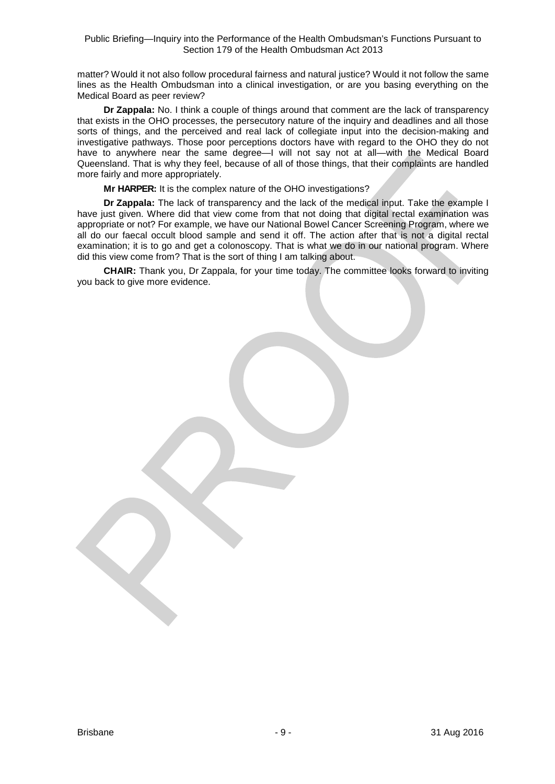matter? Would it not also follow procedural fairness and natural justice? Would it not follow the same lines as the Health Ombudsman into a clinical investigation, or are you basing everything on the Medical Board as peer review?

**Dr Zappala:** No. I think a couple of things around that comment are the lack of transparency that exists in the OHO processes, the persecutory nature of the inquiry and deadlines and all those sorts of things, and the perceived and real lack of collegiate input into the decision-making and investigative pathways. Those poor perceptions doctors have with regard to the OHO they do not have to anywhere near the same degree—I will not say not at all—with the Medical Board Queensland. That is why they feel, because of all of those things, that their complaints are handled more fairly and more appropriately.

**Mr HARPER:** It is the complex nature of the OHO investigations?

**Dr Zappala:** The lack of transparency and the lack of the medical input. Take the example I have just given. Where did that view come from that not doing that digital rectal examination was appropriate or not? For example, we have our National Bowel Cancer Screening Program, where we all do our faecal occult blood sample and send it off. The action after that is not a digital rectal examination; it is to go and get a colonoscopy. That is what we do in our national program. Where did this view come from? That is the sort of thing I am talking about.

**CHAIR:** Thank you, Dr Zappala, for your time today. The committee looks forward to inviting you back to give more evidence.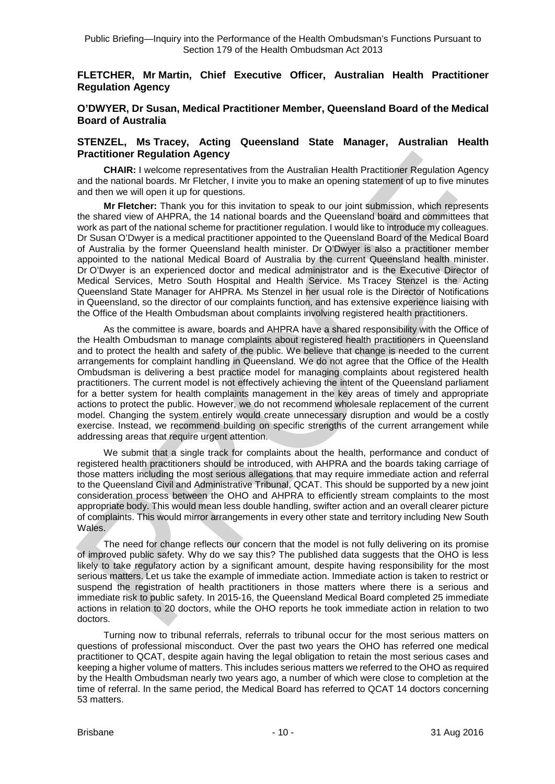#### **FLETCHER, Mr Martin, Chief Executive Officer, Australian Health Practitioner Regulation Agency**

#### **O'DWYER, Dr Susan, Medical Practitioner Member, Queensland Board of the Medical Board of Australia**

#### **STENZEL, Ms Tracey, Acting Queensland State Manager, Australian Health Practitioner Regulation Agency**

**CHAIR:** I welcome representatives from the Australian Health Practitioner Regulation Agency and the national boards. Mr Fletcher, I invite you to make an opening statement of up to five minutes and then we will open it up for questions.

**Mr Fletcher:** Thank you for this invitation to speak to our joint submission, which represents the shared view of AHPRA, the 14 national boards and the Queensland board and committees that work as part of the national scheme for practitioner regulation. I would like to introduce my colleagues. Dr Susan O'Dwyer is a medical practitioner appointed to the Queensland Board of the Medical Board of Australia by the former Queensland health minister. Dr O'Dwyer is also a practitioner member appointed to the national Medical Board of Australia by the current Queensland health minister. Dr O'Dwyer is an experienced doctor and medical administrator and is the Executive Director of Medical Services, Metro South Hospital and Health Service. Ms Tracey Stenzel is the Acting Queensland State Manager for AHPRA. Ms Stenzel in her usual role is the Director of Notifications in Queensland, so the director of our complaints function, and has extensive experience liaising with the Office of the Health Ombudsman about complaints involving registered health practitioners.

As the committee is aware, boards and AHPRA have a shared responsibility with the Office of the Health Ombudsman to manage complaints about registered health practitioners in Queensland and to protect the health and safety of the public. We believe that change is needed to the current arrangements for complaint handling in Queensland. We do not agree that the Office of the Health Ombudsman is delivering a best practice model for managing complaints about registered health practitioners. The current model is not effectively achieving the intent of the Queensland parliament for a better system for health complaints management in the key areas of timely and appropriate actions to protect the public. However, we do not recommend wholesale replacement of the current model. Changing the system entirely would create unnecessary disruption and would be a costly exercise. Instead, we recommend building on specific strengths of the current arrangement while addressing areas that require urgent attention.

We submit that a single track for complaints about the health, performance and conduct of registered health practitioners should be introduced, with AHPRA and the boards taking carriage of those matters including the most serious allegations that may require immediate action and referral to the Queensland Civil and Administrative Tribunal, QCAT. This should be supported by a new joint consideration process between the OHO and AHPRA to efficiently stream complaints to the most appropriate body. This would mean less double handling, swifter action and an overall clearer picture of complaints. This would mirror arrangements in every other state and territory including New South Wales.

The need for change reflects our concern that the model is not fully delivering on its promise of improved public safety. Why do we say this? The published data suggests that the OHO is less likely to take regulatory action by a significant amount, despite having responsibility for the most serious matters. Let us take the example of immediate action. Immediate action is taken to restrict or suspend the registration of health practitioners in those matters where there is a serious and immediate risk to public safety. In 2015-16, the Queensland Medical Board completed 25 immediate actions in relation to 20 doctors, while the OHO reports he took immediate action in relation to two doctors.

Turning now to tribunal referrals, referrals to tribunal occur for the most serious matters on questions of professional misconduct. Over the past two years the OHO has referred one medical practitioner to QCAT, despite again having the legal obligation to retain the most serious cases and keeping a higher volume of matters. This includes serious matters we referred to the OHO as required by the Health Ombudsman nearly two years ago, a number of which were close to completion at the time of referral. In the same period, the Medical Board has referred to QCAT 14 doctors concerning 53 matters.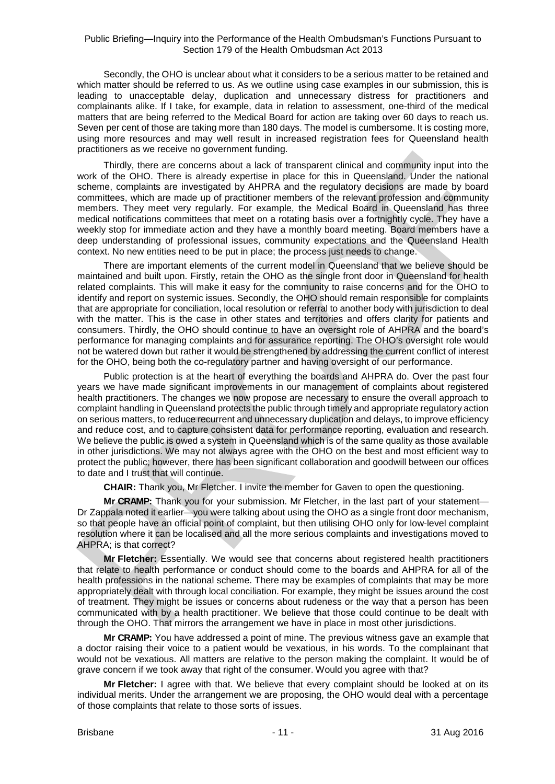Secondly, the OHO is unclear about what it considers to be a serious matter to be retained and which matter should be referred to us. As we outline using case examples in our submission, this is leading to unacceptable delay, duplication and unnecessary distress for practitioners and complainants alike. If I take, for example, data in relation to assessment, one-third of the medical matters that are being referred to the Medical Board for action are taking over 60 days to reach us. Seven per cent of those are taking more than 180 days. The model is cumbersome. It is costing more, using more resources and may well result in increased registration fees for Queensland health practitioners as we receive no government funding.

Thirdly, there are concerns about a lack of transparent clinical and community input into the work of the OHO. There is already expertise in place for this in Queensland. Under the national scheme, complaints are investigated by AHPRA and the regulatory decisions are made by board committees, which are made up of practitioner members of the relevant profession and community members. They meet very regularly. For example, the Medical Board in Queensland has three medical notifications committees that meet on a rotating basis over a fortnightly cycle. They have a weekly stop for immediate action and they have a monthly board meeting. Board members have a deep understanding of professional issues, community expectations and the Queensland Health context. No new entities need to be put in place; the process just needs to change.

There are important elements of the current model in Queensland that we believe should be maintained and built upon. Firstly, retain the OHO as the single front door in Queensland for health related complaints. This will make it easy for the community to raise concerns and for the OHO to identify and report on systemic issues. Secondly, the OHO should remain responsible for complaints that are appropriate for conciliation, local resolution or referral to another body with jurisdiction to deal with the matter. This is the case in other states and territories and offers clarity for patients and consumers. Thirdly, the OHO should continue to have an oversight role of AHPRA and the board's performance for managing complaints and for assurance reporting. The OHO's oversight role would not be watered down but rather it would be strengthened by addressing the current conflict of interest for the OHO, being both the co-regulatory partner and having oversight of our performance.

Public protection is at the heart of everything the boards and AHPRA do. Over the past four years we have made significant improvements in our management of complaints about registered health practitioners. The changes we now propose are necessary to ensure the overall approach to complaint handling in Queensland protects the public through timely and appropriate regulatory action on serious matters, to reduce recurrent and unnecessary duplication and delays, to improve efficiency and reduce cost, and to capture consistent data for performance reporting, evaluation and research. We believe the public is owed a system in Queensland which is of the same quality as those available in other jurisdictions. We may not always agree with the OHO on the best and most efficient way to protect the public; however, there has been significant collaboration and goodwill between our offices to date and I trust that will continue.

**CHAIR:** Thank you, Mr Fletcher. I invite the member for Gaven to open the questioning.

**Mr CRAMP:** Thank you for your submission. Mr Fletcher, in the last part of your statement— Dr Zappala noted it earlier—you were talking about using the OHO as a single front door mechanism, so that people have an official point of complaint, but then utilising OHO only for low-level complaint resolution where it can be localised and all the more serious complaints and investigations moved to AHPRA; is that correct?

**Mr Fletcher:** Essentially. We would see that concerns about registered health practitioners that relate to health performance or conduct should come to the boards and AHPRA for all of the health professions in the national scheme. There may be examples of complaints that may be more appropriately dealt with through local conciliation. For example, they might be issues around the cost of treatment. They might be issues or concerns about rudeness or the way that a person has been communicated with by a health practitioner. We believe that those could continue to be dealt with through the OHO. That mirrors the arrangement we have in place in most other jurisdictions.

**Mr CRAMP:** You have addressed a point of mine. The previous witness gave an example that a doctor raising their voice to a patient would be vexatious, in his words. To the complainant that would not be vexatious. All matters are relative to the person making the complaint. It would be of grave concern if we took away that right of the consumer. Would you agree with that?

**Mr Fletcher:** I agree with that. We believe that every complaint should be looked at on its individual merits. Under the arrangement we are proposing, the OHO would deal with a percentage of those complaints that relate to those sorts of issues.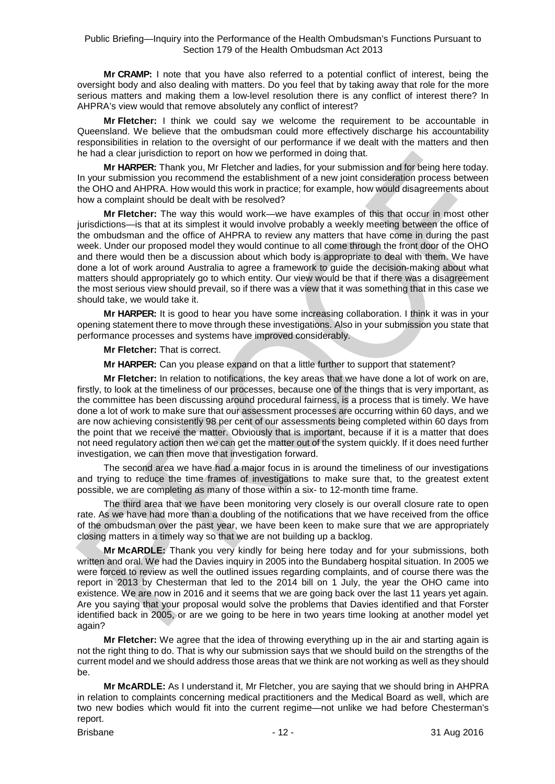**Mr CRAMP:** I note that you have also referred to a potential conflict of interest, being the oversight body and also dealing with matters. Do you feel that by taking away that role for the more serious matters and making them a low-level resolution there is any conflict of interest there? In AHPRA's view would that remove absolutely any conflict of interest?

**Mr Fletcher:** I think we could say we welcome the requirement to be accountable in Queensland. We believe that the ombudsman could more effectively discharge his accountability responsibilities in relation to the oversight of our performance if we dealt with the matters and then he had a clear jurisdiction to report on how we performed in doing that.

**Mr HARPER:** Thank you, Mr Fletcher and ladies, for your submission and for being here today. In your submission you recommend the establishment of a new joint consideration process between the OHO and AHPRA. How would this work in practice; for example, how would disagreements about how a complaint should be dealt with be resolved?

**Mr Fletcher:** The way this would work—we have examples of this that occur in most other jurisdictions—is that at its simplest it would involve probably a weekly meeting between the office of the ombudsman and the office of AHPRA to review any matters that have come in during the past week. Under our proposed model they would continue to all come through the front door of the OHO and there would then be a discussion about which body is appropriate to deal with them. We have done a lot of work around Australia to agree a framework to guide the decision-making about what matters should appropriately go to which entity. Our view would be that if there was a disagreement the most serious view should prevail, so if there was a view that it was something that in this case we should take, we would take it.

**Mr HARPER:** It is good to hear you have some increasing collaboration. I think it was in your opening statement there to move through these investigations. Also in your submission you state that performance processes and systems have improved considerably.

**Mr Fletcher:** That is correct.

**Mr HARPER:** Can you please expand on that a little further to support that statement?

**Mr Fletcher:** In relation to notifications, the key areas that we have done a lot of work on are, firstly, to look at the timeliness of our processes, because one of the things that is very important, as the committee has been discussing around procedural fairness, is a process that is timely. We have done a lot of work to make sure that our assessment processes are occurring within 60 days, and we are now achieving consistently 98 per cent of our assessments being completed within 60 days from the point that we receive the matter. Obviously that is important, because if it is a matter that does not need regulatory action then we can get the matter out of the system quickly. If it does need further investigation, we can then move that investigation forward.

The second area we have had a major focus in is around the timeliness of our investigations and trying to reduce the time frames of investigations to make sure that, to the greatest extent possible, we are completing as many of those within a six- to 12-month time frame.

The third area that we have been monitoring very closely is our overall closure rate to open rate. As we have had more than a doubling of the notifications that we have received from the office of the ombudsman over the past year, we have been keen to make sure that we are appropriately closing matters in a timely way so that we are not building up a backlog.

**Mr McARDLE:** Thank you very kindly for being here today and for your submissions, both written and oral. We had the Davies inquiry in 2005 into the Bundaberg hospital situation. In 2005 we were forced to review as well the outlined issues regarding complaints, and of course there was the report in 2013 by Chesterman that led to the 2014 bill on 1 July, the year the OHO came into existence. We are now in 2016 and it seems that we are going back over the last 11 years yet again. Are you saying that your proposal would solve the problems that Davies identified and that Forster identified back in 2005, or are we going to be here in two years time looking at another model yet again?

**Mr Fletcher:** We agree that the idea of throwing everything up in the air and starting again is not the right thing to do. That is why our submission says that we should build on the strengths of the current model and we should address those areas that we think are not working as well as they should be.

**Mr McARDLE:** As I understand it, Mr Fletcher, you are saying that we should bring in AHPRA in relation to complaints concerning medical practitioners and the Medical Board as well, which are two new bodies which would fit into the current regime—not unlike we had before Chesterman's report.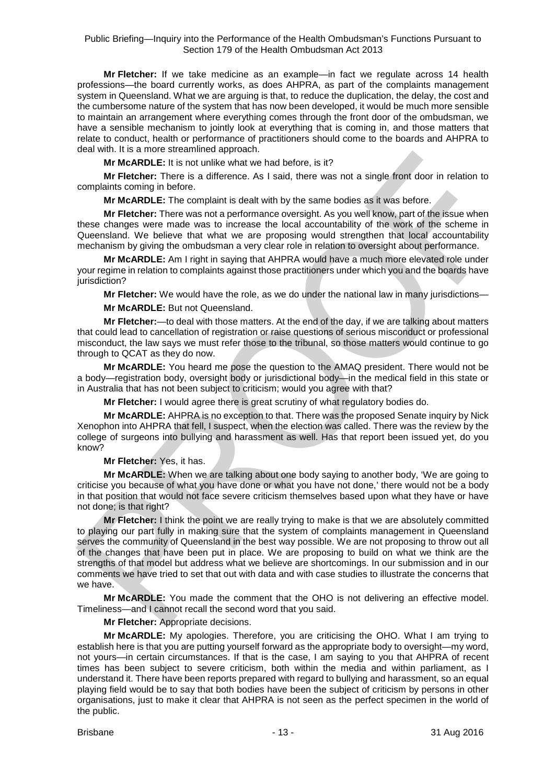**Mr Fletcher:** If we take medicine as an example—in fact we regulate across 14 health professions—the board currently works, as does AHPRA, as part of the complaints management system in Queensland. What we are arguing is that, to reduce the duplication, the delay, the cost and the cumbersome nature of the system that has now been developed, it would be much more sensible to maintain an arrangement where everything comes through the front door of the ombudsman, we have a sensible mechanism to jointly look at everything that is coming in, and those matters that relate to conduct, health or performance of practitioners should come to the boards and AHPRA to deal with. It is a more streamlined approach.

**Mr McARDLE:** It is not unlike what we had before, is it?

**Mr Fletcher:** There is a difference. As I said, there was not a single front door in relation to complaints coming in before.

**Mr McARDLE:** The complaint is dealt with by the same bodies as it was before.

**Mr Fletcher:** There was not a performance oversight. As you well know, part of the issue when these changes were made was to increase the local accountability of the work of the scheme in Queensland. We believe that what we are proposing would strengthen that local accountability mechanism by giving the ombudsman a very clear role in relation to oversight about performance.

**Mr McARDLE:** Am I right in saying that AHPRA would have a much more elevated role under your regime in relation to complaints against those practitioners under which you and the boards have jurisdiction?

**Mr Fletcher:** We would have the role, as we do under the national law in many jurisdictions—

#### **Mr McARDLE:** But not Queensland.

**Mr Fletcher:**—to deal with those matters. At the end of the day, if we are talking about matters that could lead to cancellation of registration or raise questions of serious misconduct or professional misconduct, the law says we must refer those to the tribunal, so those matters would continue to go through to QCAT as they do now.

**Mr McARDLE:** You heard me pose the question to the AMAQ president. There would not be a body—registration body, oversight body or jurisdictional body—in the medical field in this state or in Australia that has not been subject to criticism; would you agree with that?

**Mr Fletcher:** I would agree there is great scrutiny of what regulatory bodies do.

**Mr McARDLE:** AHPRA is no exception to that. There was the proposed Senate inquiry by Nick Xenophon into AHPRA that fell, I suspect, when the election was called. There was the review by the college of surgeons into bullying and harassment as well. Has that report been issued yet, do you know?

**Mr Fletcher:** Yes, it has.

**Mr McARDLE:** When we are talking about one body saying to another body, 'We are going to criticise you because of what you have done or what you have not done,' there would not be a body in that position that would not face severe criticism themselves based upon what they have or have not done; is that right?

**Mr Fletcher:** I think the point we are really trying to make is that we are absolutely committed to playing our part fully in making sure that the system of complaints management in Queensland serves the community of Queensland in the best way possible. We are not proposing to throw out all of the changes that have been put in place. We are proposing to build on what we think are the strengths of that model but address what we believe are shortcomings. In our submission and in our comments we have tried to set that out with data and with case studies to illustrate the concerns that we have.

**Mr McARDLE:** You made the comment that the OHO is not delivering an effective model. Timeliness—and I cannot recall the second word that you said.

**Mr Fletcher:** Appropriate decisions.

**Mr McARDLE:** My apologies. Therefore, you are criticising the OHO. What I am trying to establish here is that you are putting yourself forward as the appropriate body to oversight—my word, not yours—in certain circumstances. If that is the case, I am saying to you that AHPRA of recent times has been subject to severe criticism, both within the media and within parliament, as I understand it. There have been reports prepared with regard to bullying and harassment, so an equal playing field would be to say that both bodies have been the subject of criticism by persons in other organisations, just to make it clear that AHPRA is not seen as the perfect specimen in the world of the public.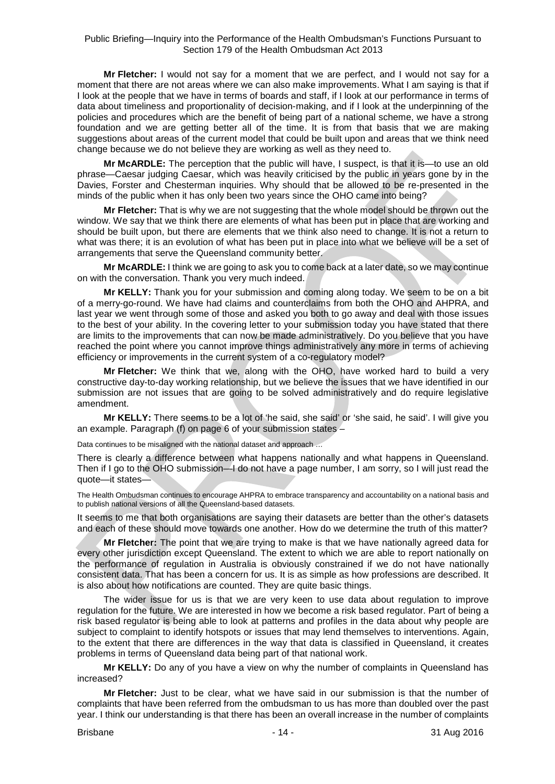**Mr Fletcher:** I would not say for a moment that we are perfect, and I would not say for a moment that there are not areas where we can also make improvements. What I am saying is that if I look at the people that we have in terms of boards and staff, if I look at our performance in terms of data about timeliness and proportionality of decision-making, and if I look at the underpinning of the policies and procedures which are the benefit of being part of a national scheme, we have a strong foundation and we are getting better all of the time. It is from that basis that we are making suggestions about areas of the current model that could be built upon and areas that we think need change because we do not believe they are working as well as they need to.

**Mr McARDLE:** The perception that the public will have, I suspect, is that it is—to use an old phrase—Caesar judging Caesar, which was heavily criticised by the public in years gone by in the Davies, Forster and Chesterman inquiries. Why should that be allowed to be re-presented in the minds of the public when it has only been two years since the OHO came into being?

**Mr Fletcher:** That is why we are not suggesting that the whole model should be thrown out the window. We say that we think there are elements of what has been put in place that are working and should be built upon, but there are elements that we think also need to change. It is not a return to what was there; it is an evolution of what has been put in place into what we believe will be a set of arrangements that serve the Queensland community better.

**Mr McARDLE:** I think we are going to ask you to come back at a later date, so we may continue on with the conversation. Thank you very much indeed.

**Mr KELLY:** Thank you for your submission and coming along today. We seem to be on a bit of a merry-go-round. We have had claims and counterclaims from both the OHO and AHPRA, and last year we went through some of those and asked you both to go away and deal with those issues to the best of your ability. In the covering letter to your submission today you have stated that there are limits to the improvements that can now be made administratively. Do you believe that you have reached the point where you cannot improve things administratively any more in terms of achieving efficiency or improvements in the current system of a co-regulatory model?

**Mr Fletcher:** We think that we, along with the OHO, have worked hard to build a very constructive day-to-day working relationship, but we believe the issues that we have identified in our submission are not issues that are going to be solved administratively and do require legislative amendment.

**Mr KELLY:** There seems to be a lot of 'he said, she said' or 'she said, he said'. I will give you an example. Paragraph (f) on page 6 of your submission states –

Data continues to be misaligned with the national dataset and approach ...

There is clearly a difference between what happens nationally and what happens in Queensland. Then if I go to the OHO submission—I do not have a page number, I am sorry, so I will just read the quote—it states—

The Health Ombudsman continues to encourage AHPRA to embrace transparency and accountability on a national basis and to publish national versions of all the Queensland-based datasets.

It seems to me that both organisations are saying their datasets are better than the other's datasets and each of these should move towards one another. How do we determine the truth of this matter?

**Mr Fletcher:** The point that we are trying to make is that we have nationally agreed data for every other jurisdiction except Queensland. The extent to which we are able to report nationally on the performance of regulation in Australia is obviously constrained if we do not have nationally consistent data. That has been a concern for us. It is as simple as how professions are described. It is also about how notifications are counted. They are quite basic things.

The wider issue for us is that we are very keen to use data about regulation to improve regulation for the future. We are interested in how we become a risk based regulator. Part of being a risk based regulator is being able to look at patterns and profiles in the data about why people are subject to complaint to identify hotspots or issues that may lend themselves to interventions. Again, to the extent that there are differences in the way that data is classified in Queensland, it creates problems in terms of Queensland data being part of that national work.

**Mr KELLY:** Do any of you have a view on why the number of complaints in Queensland has increased?

**Mr Fletcher:** Just to be clear, what we have said in our submission is that the number of complaints that have been referred from the ombudsman to us has more than doubled over the past year. I think our understanding is that there has been an overall increase in the number of complaints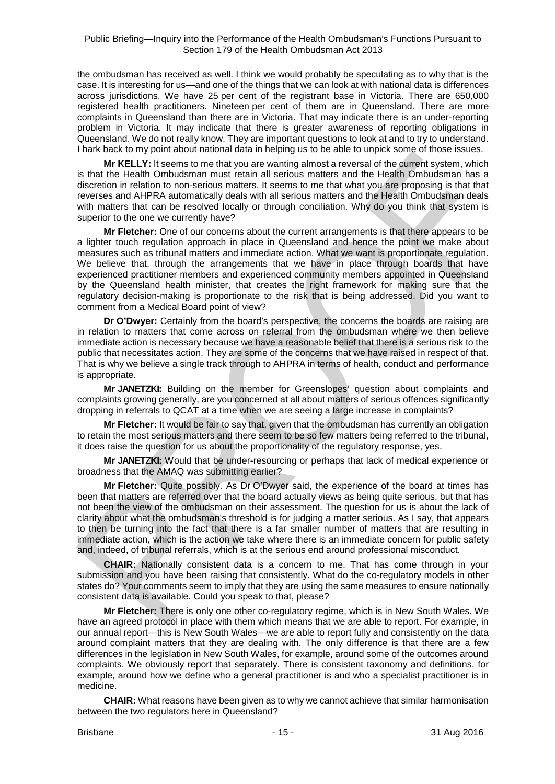the ombudsman has received as well. I think we would probably be speculating as to why that is the case. It is interesting for us—and one of the things that we can look at with national data is differences across jurisdictions. We have 25 per cent of the registrant base in Victoria. There are 650,000 registered health practitioners. Nineteen per cent of them are in Queensland. There are more complaints in Queensland than there are in Victoria. That may indicate there is an under-reporting problem in Victoria. It may indicate that there is greater awareness of reporting obligations in Queensland. We do not really know. They are important questions to look at and to try to understand. I hark back to my point about national data in helping us to be able to unpick some of those issues.

**Mr KELLY:** It seems to me that you are wanting almost a reversal of the current system, which is that the Health Ombudsman must retain all serious matters and the Health Ombudsman has a discretion in relation to non-serious matters. It seems to me that what you are proposing is that that reverses and AHPRA automatically deals with all serious matters and the Health Ombudsman deals with matters that can be resolved locally or through conciliation. Why do you think that system is superior to the one we currently have?

**Mr Fletcher:** One of our concerns about the current arrangements is that there appears to be a lighter touch regulation approach in place in Queensland and hence the point we make about measures such as tribunal matters and immediate action. What we want is proportionate regulation. We believe that, through the arrangements that we have in place through boards that have experienced practitioner members and experienced community members appointed in Queensland by the Queensland health minister, that creates the right framework for making sure that the regulatory decision-making is proportionate to the risk that is being addressed. Did you want to comment from a Medical Board point of view?

**Dr O'Dwyer:** Certainly from the board's perspective, the concerns the boards are raising are in relation to matters that come across on referral from the ombudsman where we then believe immediate action is necessary because we have a reasonable belief that there is a serious risk to the public that necessitates action. They are some of the concerns that we have raised in respect of that. That is why we believe a single track through to AHPRA in terms of health, conduct and performance is appropriate.

**Mr JANETZKI:** Building on the member for Greenslopes' question about complaints and complaints growing generally, are you concerned at all about matters of serious offences significantly dropping in referrals to QCAT at a time when we are seeing a large increase in complaints?

**Mr Fletcher:** It would be fair to say that, given that the ombudsman has currently an obligation to retain the most serious matters and there seem to be so few matters being referred to the tribunal, it does raise the question for us about the proportionality of the regulatory response, yes.

**Mr JANETZKI:** Would that be under-resourcing or perhaps that lack of medical experience or broadness that the AMAQ was submitting earlier?

**Mr Fletcher:** Quite possibly. As Dr O'Dwyer said, the experience of the board at times has been that matters are referred over that the board actually views as being quite serious, but that has not been the view of the ombudsman on their assessment. The question for us is about the lack of clarity about what the ombudsman's threshold is for judging a matter serious. As I say, that appears to then be turning into the fact that there is a far smaller number of matters that are resulting in immediate action, which is the action we take where there is an immediate concern for public safety and, indeed, of tribunal referrals, which is at the serious end around professional misconduct.

**CHAIR:** Nationally consistent data is a concern to me. That has come through in your submission and you have been raising that consistently. What do the co-regulatory models in other states do? Your comments seem to imply that they are using the same measures to ensure nationally consistent data is available. Could you speak to that, please?

**Mr Fletcher:** There is only one other co-regulatory regime, which is in New South Wales. We have an agreed protocol in place with them which means that we are able to report. For example, in our annual report—this is New South Wales—we are able to report fully and consistently on the data around complaint matters that they are dealing with. The only difference is that there are a few differences in the legislation in New South Wales, for example, around some of the outcomes around complaints. We obviously report that separately. There is consistent taxonomy and definitions, for example, around how we define who a general practitioner is and who a specialist practitioner is in medicine.

**CHAIR:** What reasons have been given as to why we cannot achieve that similar harmonisation between the two regulators here in Queensland?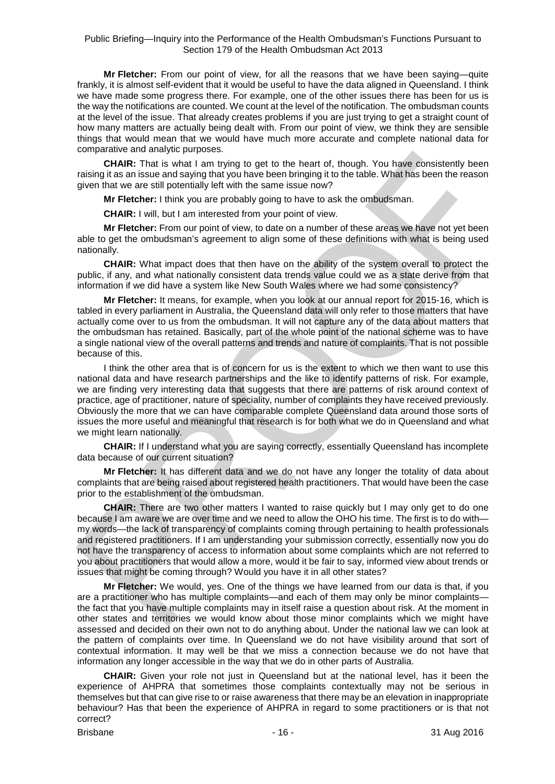**Mr Fletcher:** From our point of view, for all the reasons that we have been saying—quite frankly, it is almost self-evident that it would be useful to have the data aligned in Queensland. I think we have made some progress there. For example, one of the other issues there has been for us is the way the notifications are counted. We count at the level of the notification. The ombudsman counts at the level of the issue. That already creates problems if you are just trying to get a straight count of how many matters are actually being dealt with. From our point of view, we think they are sensible things that would mean that we would have much more accurate and complete national data for comparative and analytic purposes.

**CHAIR:** That is what I am trying to get to the heart of, though. You have consistently been raising it as an issue and saying that you have been bringing it to the table. What has been the reason given that we are still potentially left with the same issue now?

**Mr Fletcher:** I think you are probably going to have to ask the ombudsman.

**CHAIR:** I will, but I am interested from your point of view.

**Mr Fletcher:** From our point of view, to date on a number of these areas we have not yet been able to get the ombudsman's agreement to align some of these definitions with what is being used nationally.

**CHAIR:** What impact does that then have on the ability of the system overall to protect the public, if any, and what nationally consistent data trends value could we as a state derive from that information if we did have a system like New South Wales where we had some consistency?

**Mr Fletcher:** It means, for example, when you look at our annual report for 2015-16, which is tabled in every parliament in Australia, the Queensland data will only refer to those matters that have actually come over to us from the ombudsman. It will not capture any of the data about matters that the ombudsman has retained. Basically, part of the whole point of the national scheme was to have a single national view of the overall patterns and trends and nature of complaints. That is not possible because of this.

I think the other area that is of concern for us is the extent to which we then want to use this national data and have research partnerships and the like to identify patterns of risk. For example, we are finding very interesting data that suggests that there are patterns of risk around context of practice, age of practitioner, nature of speciality, number of complaints they have received previously. Obviously the more that we can have comparable complete Queensland data around those sorts of issues the more useful and meaningful that research is for both what we do in Queensland and what we might learn nationally.

**CHAIR:** If I understand what you are saying correctly, essentially Queensland has incomplete data because of our current situation?

**Mr Fletcher:** It has different data and we do not have any longer the totality of data about complaints that are being raised about registered health practitioners. That would have been the case prior to the establishment of the ombudsman.

**CHAIR:** There are two other matters I wanted to raise quickly but I may only get to do one because I am aware we are over time and we need to allow the OHO his time. The first is to do with my words—the lack of transparency of complaints coming through pertaining to health professionals and registered practitioners. If I am understanding your submission correctly, essentially now you do not have the transparency of access to information about some complaints which are not referred to you about practitioners that would allow a more, would it be fair to say, informed view about trends or issues that might be coming through? Would you have it in all other states?

**Mr Fletcher:** We would, yes. One of the things we have learned from our data is that, if you are a practitioner who has multiple complaints—and each of them may only be minor complaints the fact that you have multiple complaints may in itself raise a question about risk. At the moment in other states and territories we would know about those minor complaints which we might have assessed and decided on their own not to do anything about. Under the national law we can look at the pattern of complaints over time. In Queensland we do not have visibility around that sort of contextual information. It may well be that we miss a connection because we do not have that information any longer accessible in the way that we do in other parts of Australia.

**CHAIR:** Given your role not just in Queensland but at the national level, has it been the experience of AHPRA that sometimes those complaints contextually may not be serious in themselves but that can give rise to or raise awareness that there may be an elevation in inappropriate behaviour? Has that been the experience of AHPRA in regard to some practitioners or is that not correct?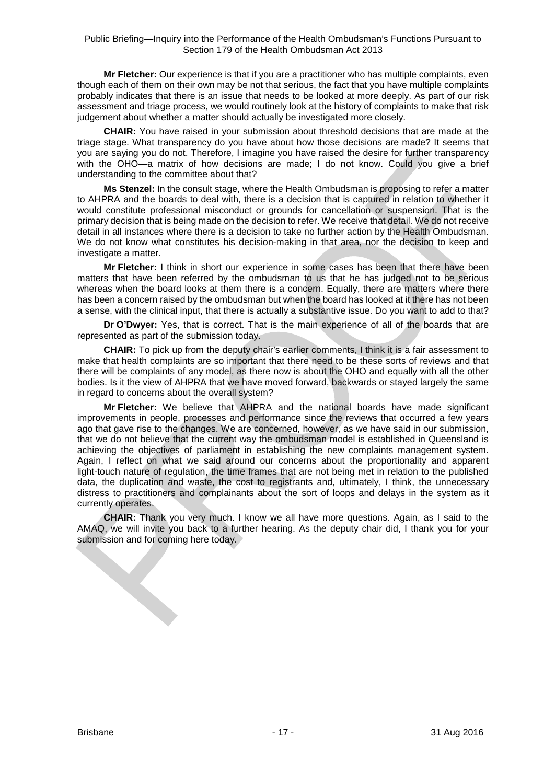**Mr Fletcher:** Our experience is that if you are a practitioner who has multiple complaints, even though each of them on their own may be not that serious, the fact that you have multiple complaints probably indicates that there is an issue that needs to be looked at more deeply. As part of our risk assessment and triage process, we would routinely look at the history of complaints to make that risk judgement about whether a matter should actually be investigated more closely.

**CHAIR:** You have raised in your submission about threshold decisions that are made at the triage stage. What transparency do you have about how those decisions are made? It seems that you are saying you do not. Therefore, I imagine you have raised the desire for further transparency with the OHO—a matrix of how decisions are made; I do not know. Could you give a brief understanding to the committee about that?

**Ms Stenzel:** In the consult stage, where the Health Ombudsman is proposing to refer a matter to AHPRA and the boards to deal with, there is a decision that is captured in relation to whether it would constitute professional misconduct or grounds for cancellation or suspension. That is the primary decision that is being made on the decision to refer. We receive that detail. We do not receive detail in all instances where there is a decision to take no further action by the Health Ombudsman. We do not know what constitutes his decision-making in that area, nor the decision to keep and investigate a matter.

**Mr Fletcher:** I think in short our experience in some cases has been that there have been matters that have been referred by the ombudsman to us that he has judged not to be serious whereas when the board looks at them there is a concern. Equally, there are matters where there has been a concern raised by the ombudsman but when the board has looked at it there has not been a sense, with the clinical input, that there is actually a substantive issue. Do you want to add to that?

**Dr O'Dwyer:** Yes, that is correct. That is the main experience of all of the boards that are represented as part of the submission today.

**CHAIR:** To pick up from the deputy chair's earlier comments, I think it is a fair assessment to make that health complaints are so important that there need to be these sorts of reviews and that there will be complaints of any model, as there now is about the OHO and equally with all the other bodies. Is it the view of AHPRA that we have moved forward, backwards or stayed largely the same in regard to concerns about the overall system?

**Mr Fletcher:** We believe that AHPRA and the national boards have made significant improvements in people, processes and performance since the reviews that occurred a few years ago that gave rise to the changes. We are concerned, however, as we have said in our submission, that we do not believe that the current way the ombudsman model is established in Queensland is achieving the objectives of parliament in establishing the new complaints management system. Again, I reflect on what we said around our concerns about the proportionality and apparent light-touch nature of regulation, the time frames that are not being met in relation to the published data, the duplication and waste, the cost to registrants and, ultimately, I think, the unnecessary distress to practitioners and complainants about the sort of loops and delays in the system as it currently operates.

**CHAIR:** Thank you very much. I know we all have more questions. Again, as I said to the AMAQ, we will invite you back to a further hearing. As the deputy chair did, I thank you for your submission and for coming here today.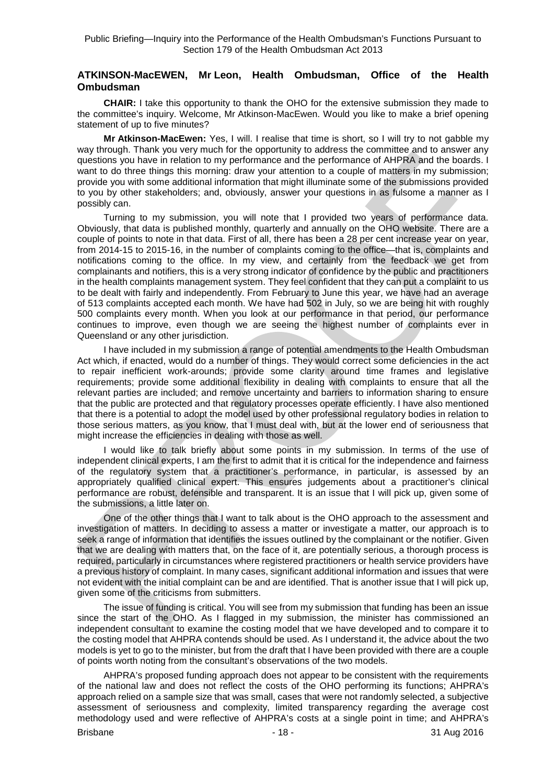#### **ATKINSON-MacEWEN, Mr Leon, Health Ombudsman, Office of the Health Ombudsman**

**CHAIR:** I take this opportunity to thank the OHO for the extensive submission they made to the committee's inquiry. Welcome, Mr Atkinson-MacEwen. Would you like to make a brief opening statement of up to five minutes?

**Mr Atkinson-MacEwen:** Yes, I will. I realise that time is short, so I will try to not gabble my way through. Thank you very much for the opportunity to address the committee and to answer any questions you have in relation to my performance and the performance of AHPRA and the boards. I want to do three things this morning: draw your attention to a couple of matters in my submission; provide you with some additional information that might illuminate some of the submissions provided to you by other stakeholders; and, obviously, answer your questions in as fulsome a manner as I possibly can.

Turning to my submission, you will note that I provided two years of performance data. Obviously, that data is published monthly, quarterly and annually on the OHO website. There are a couple of points to note in that data. First of all, there has been a 28 per cent increase year on year, from 2014-15 to 2015-16, in the number of complaints coming to the office—that is, complaints and notifications coming to the office. In my view, and certainly from the feedback we get from complainants and notifiers, this is a very strong indicator of confidence by the public and practitioners in the health complaints management system. They feel confident that they can put a complaint to us to be dealt with fairly and independently. From February to June this year, we have had an average of 513 complaints accepted each month. We have had 502 in July, so we are being hit with roughly 500 complaints every month. When you look at our performance in that period, our performance continues to improve, even though we are seeing the highest number of complaints ever in Queensland or any other jurisdiction.

I have included in my submission a range of potential amendments to the Health Ombudsman Act which, if enacted, would do a number of things. They would correct some deficiencies in the act to repair inefficient work-arounds; provide some clarity around time frames and legislative requirements; provide some additional flexibility in dealing with complaints to ensure that all the relevant parties are included; and remove uncertainty and barriers to information sharing to ensure that the public are protected and that regulatory processes operate efficiently. I have also mentioned that there is a potential to adopt the model used by other professional regulatory bodies in relation to those serious matters, as you know, that I must deal with, but at the lower end of seriousness that might increase the efficiencies in dealing with those as well.

I would like to talk briefly about some points in my submission. In terms of the use of independent clinical experts, I am the first to admit that it is critical for the independence and fairness of the regulatory system that a practitioner's performance, in particular, is assessed by an appropriately qualified clinical expert. This ensures judgements about a practitioner's clinical performance are robust, defensible and transparent. It is an issue that I will pick up, given some of the submissions, a little later on.

One of the other things that I want to talk about is the OHO approach to the assessment and investigation of matters. In deciding to assess a matter or investigate a matter, our approach is to seek a range of information that identifies the issues outlined by the complainant or the notifier. Given that we are dealing with matters that, on the face of it, are potentially serious, a thorough process is required, particularly in circumstances where registered practitioners or health service providers have a previous history of complaint. In many cases, significant additional information and issues that were not evident with the initial complaint can be and are identified. That is another issue that I will pick up, given some of the criticisms from submitters.

The issue of funding is critical. You will see from my submission that funding has been an issue since the start of the OHO. As I flagged in my submission, the minister has commissioned an independent consultant to examine the costing model that we have developed and to compare it to the costing model that AHPRA contends should be used. As I understand it, the advice about the two models is yet to go to the minister, but from the draft that I have been provided with there are a couple of points worth noting from the consultant's observations of the two models.

AHPRA's proposed funding approach does not appear to be consistent with the requirements of the national law and does not reflect the costs of the OHO performing its functions; AHPRA's approach relied on a sample size that was small, cases that were not randomly selected, a subjective assessment of seriousness and complexity, limited transparency regarding the average cost methodology used and were reflective of AHPRA's costs at a single point in time; and AHPRA's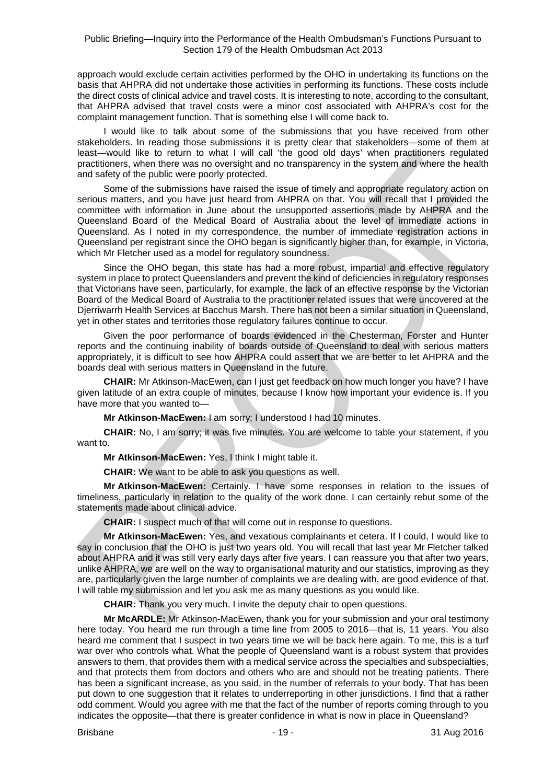approach would exclude certain activities performed by the OHO in undertaking its functions on the basis that AHPRA did not undertake those activities in performing its functions. These costs include the direct costs of clinical advice and travel costs. It is interesting to note, according to the consultant, that AHPRA advised that travel costs were a minor cost associated with AHPRA's cost for the complaint management function. That is something else I will come back to.

I would like to talk about some of the submissions that you have received from other stakeholders. In reading those submissions it is pretty clear that stakeholders—some of them at least—would like to return to what I will call 'the good old days' when practitioners regulated practitioners, when there was no oversight and no transparency in the system and where the health and safety of the public were poorly protected.

Some of the submissions have raised the issue of timely and appropriate regulatory action on serious matters, and you have just heard from AHPRA on that. You will recall that I provided the committee with information in June about the unsupported assertions made by AHPRA and the Queensland Board of the Medical Board of Australia about the level of immediate actions in Queensland. As I noted in my correspondence, the number of immediate registration actions in Queensland per registrant since the OHO began is significantly higher than, for example, in Victoria, which Mr Fletcher used as a model for regulatory soundness.

Since the OHO began, this state has had a more robust, impartial and effective regulatory system in place to protect Queenslanders and prevent the kind of deficiencies in regulatory responses that Victorians have seen, particularly, for example, the lack of an effective response by the Victorian Board of the Medical Board of Australia to the practitioner related issues that were uncovered at the Djerriwarrh Health Services at Bacchus Marsh. There has not been a similar situation in Queensland, yet in other states and territories those regulatory failures continue to occur.

Given the poor performance of boards evidenced in the Chesterman, Forster and Hunter reports and the continuing inability of boards outside of Queensland to deal with serious matters appropriately, it is difficult to see how AHPRA could assert that we are better to let AHPRA and the boards deal with serious matters in Queensland in the future.

**CHAIR:** Mr Atkinson-MacEwen, can I just get feedback on how much longer you have? I have given latitude of an extra couple of minutes, because I know how important your evidence is. If you have more that you wanted to—

**Mr Atkinson-MacEwen:** I am sorry; I understood I had 10 minutes.

**CHAIR:** No, I am sorry; it was five minutes. You are welcome to table your statement, if you want to.

**Mr Atkinson-MacEwen:** Yes, I think I might table it.

**CHAIR:** We want to be able to ask you questions as well.

**Mr Atkinson-MacEwen:** Certainly. I have some responses in relation to the issues of timeliness, particularly in relation to the quality of the work done. I can certainly rebut some of the statements made about clinical advice.

**CHAIR:** I suspect much of that will come out in response to questions.

**Mr Atkinson-MacEwen:** Yes, and vexatious complainants et cetera. If I could, I would like to say in conclusion that the OHO is just two years old. You will recall that last year Mr Fletcher talked about AHPRA and it was still very early days after five years. I can reassure you that after two years, unlike AHPRA, we are well on the way to organisational maturity and our statistics, improving as they are, particularly given the large number of complaints we are dealing with, are good evidence of that. I will table my submission and let you ask me as many questions as you would like.

**CHAIR:** Thank you very much. I invite the deputy chair to open questions.

**Mr McARDLE:** Mr Atkinson-MacEwen, thank you for your submission and your oral testimony here today. You heard me run through a time line from 2005 to 2016—that is, 11 years. You also heard me comment that I suspect in two years time we will be back here again. To me, this is a turf war over who controls what. What the people of Queensland want is a robust system that provides answers to them, that provides them with a medical service across the specialties and subspecialties, and that protects them from doctors and others who are and should not be treating patients. There has been a significant increase, as you said, in the number of referrals to your body. That has been put down to one suggestion that it relates to underreporting in other jurisdictions. I find that a rather odd comment. Would you agree with me that the fact of the number of reports coming through to you indicates the opposite—that there is greater confidence in what is now in place in Queensland?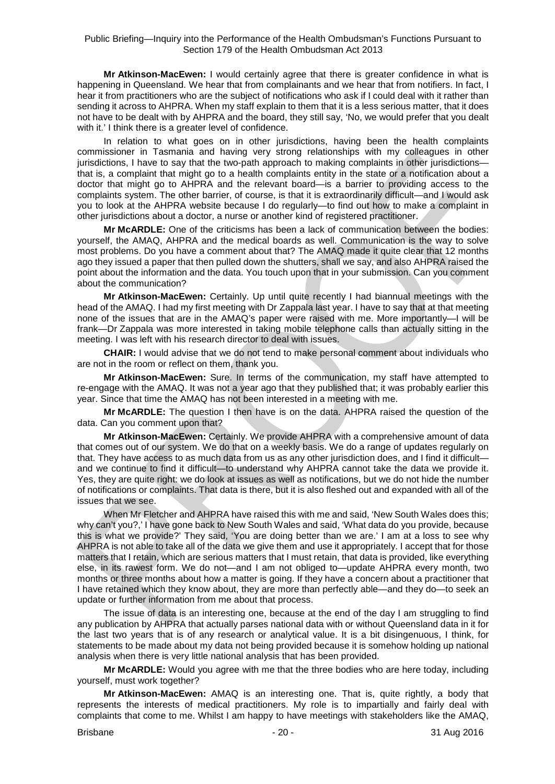**Mr Atkinson-MacEwen:** I would certainly agree that there is greater confidence in what is happening in Queensland. We hear that from complainants and we hear that from notifiers. In fact, I hear it from practitioners who are the subject of notifications who ask if I could deal with it rather than sending it across to AHPRA. When my staff explain to them that it is a less serious matter, that it does not have to be dealt with by AHPRA and the board, they still say, 'No, we would prefer that you dealt with it.' I think there is a greater level of confidence.

In relation to what goes on in other jurisdictions, having been the health complaints commissioner in Tasmania and having very strong relationships with my colleagues in other jurisdictions, I have to say that the two-path approach to making complaints in other jurisdictions that is, a complaint that might go to a health complaints entity in the state or a notification about a doctor that might go to AHPRA and the relevant board—is a barrier to providing access to the complaints system. The other barrier, of course, is that it is extraordinarily difficult—and I would ask you to look at the AHPRA website because I do regularly—to find out how to make a complaint in other jurisdictions about a doctor, a nurse or another kind of registered practitioner.

**Mr McARDLE:** One of the criticisms has been a lack of communication between the bodies: yourself, the AMAQ, AHPRA and the medical boards as well. Communication is the way to solve most problems. Do you have a comment about that? The AMAQ made it quite clear that 12 months ago they issued a paper that then pulled down the shutters, shall we say, and also AHPRA raised the point about the information and the data. You touch upon that in your submission. Can you comment about the communication?

**Mr Atkinson-MacEwen:** Certainly. Up until quite recently I had biannual meetings with the head of the AMAQ. I had my first meeting with Dr Zappala last year. I have to say that at that meeting none of the issues that are in the AMAQ's paper were raised with me. More importantly—I will be frank—Dr Zappala was more interested in taking mobile telephone calls than actually sitting in the meeting. I was left with his research director to deal with issues.

**CHAIR:** I would advise that we do not tend to make personal comment about individuals who are not in the room or reflect on them, thank you.

**Mr Atkinson-MacEwen:** Sure. In terms of the communication, my staff have attempted to re-engage with the AMAQ. It was not a year ago that they published that; it was probably earlier this year. Since that time the AMAQ has not been interested in a meeting with me.

**Mr McARDLE:** The question I then have is on the data. AHPRA raised the question of the data. Can you comment upon that?

**Mr Atkinson-MacEwen:** Certainly. We provide AHPRA with a comprehensive amount of data that comes out of our system. We do that on a weekly basis. We do a range of updates regularly on that. They have access to as much data from us as any other jurisdiction does, and I find it difficult and we continue to find it difficult—to understand why AHPRA cannot take the data we provide it. Yes, they are quite right: we do look at issues as well as notifications, but we do not hide the number of notifications or complaints. That data is there, but it is also fleshed out and expanded with all of the issues that we see.

When Mr Fletcher and AHPRA have raised this with me and said, 'New South Wales does this; why can't you?,' I have gone back to New South Wales and said, 'What data do you provide, because this is what we provide?' They said, 'You are doing better than we are.' I am at a loss to see why AHPRA is not able to take all of the data we give them and use it appropriately. I accept that for those matters that I retain, which are serious matters that I must retain, that data is provided, like everything else, in its rawest form. We do not—and I am not obliged to—update AHPRA every month, two months or three months about how a matter is going. If they have a concern about a practitioner that I have retained which they know about, they are more than perfectly able—and they do—to seek an update or further information from me about that process.

The issue of data is an interesting one, because at the end of the day I am struggling to find any publication by AHPRA that actually parses national data with or without Queensland data in it for the last two years that is of any research or analytical value. It is a bit disingenuous, I think, for statements to be made about my data not being provided because it is somehow holding up national analysis when there is very little national analysis that has been provided.

**Mr McARDLE:** Would you agree with me that the three bodies who are here today, including yourself, must work together?

**Mr Atkinson-MacEwen:** AMAQ is an interesting one. That is, quite rightly, a body that represents the interests of medical practitioners. My role is to impartially and fairly deal with complaints that come to me. Whilst I am happy to have meetings with stakeholders like the AMAQ,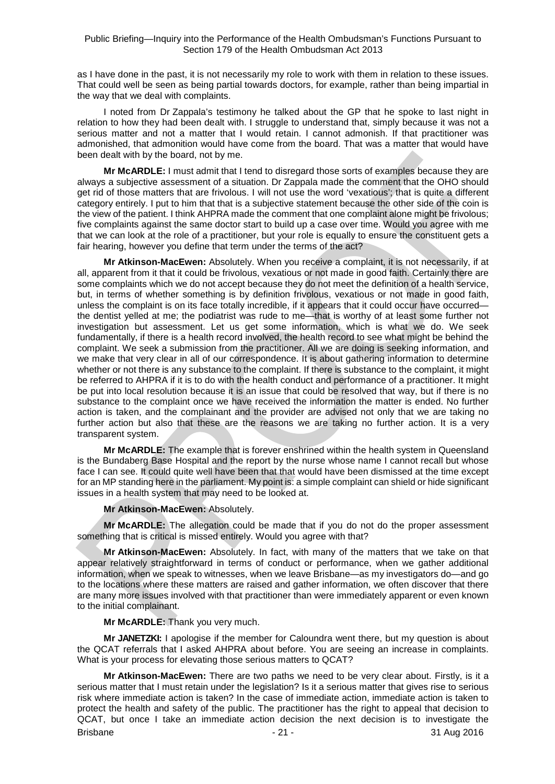as I have done in the past, it is not necessarily my role to work with them in relation to these issues. That could well be seen as being partial towards doctors, for example, rather than being impartial in the way that we deal with complaints.

I noted from Dr Zappala's testimony he talked about the GP that he spoke to last night in relation to how they had been dealt with. I struggle to understand that, simply because it was not a serious matter and not a matter that I would retain. I cannot admonish. If that practitioner was admonished, that admonition would have come from the board. That was a matter that would have been dealt with by the board, not by me.

**Mr McARDLE:** I must admit that I tend to disregard those sorts of examples because they are always a subjective assessment of a situation. Dr Zappala made the comment that the OHO should get rid of those matters that are frivolous. I will not use the word 'vexatious'; that is quite a different category entirely. I put to him that that is a subjective statement because the other side of the coin is the view of the patient. I think AHPRA made the comment that one complaint alone might be frivolous; five complaints against the same doctor start to build up a case over time. Would you agree with me that we can look at the role of a practitioner, but your role is equally to ensure the constituent gets a fair hearing, however you define that term under the terms of the act?

**Mr Atkinson-MacEwen:** Absolutely. When you receive a complaint, it is not necessarily, if at all, apparent from it that it could be frivolous, vexatious or not made in good faith. Certainly there are some complaints which we do not accept because they do not meet the definition of a health service, but, in terms of whether something is by definition frivolous, vexatious or not made in good faith, unless the complaint is on its face totally incredible, if it appears that it could occur have occurred the dentist yelled at me; the podiatrist was rude to me—that is worthy of at least some further not investigation but assessment. Let us get some information, which is what we do. We seek fundamentally, if there is a health record involved, the health record to see what might be behind the complaint. We seek a submission from the practitioner. All we are doing is seeking information, and we make that very clear in all of our correspondence. It is about gathering information to determine whether or not there is any substance to the complaint. If there is substance to the complaint, it might be referred to AHPRA if it is to do with the health conduct and performance of a practitioner. It might be put into local resolution because it is an issue that could be resolved that way, but if there is no substance to the complaint once we have received the information the matter is ended. No further action is taken, and the complainant and the provider are advised not only that we are taking no further action but also that these are the reasons we are taking no further action. It is a very transparent system.

**Mr McARDLE:** The example that is forever enshrined within the health system in Queensland is the Bundaberg Base Hospital and the report by the nurse whose name I cannot recall but whose face I can see. It could quite well have been that that would have been dismissed at the time except for an MP standing here in the parliament. My point is: a simple complaint can shield or hide significant issues in a health system that may need to be looked at.

#### **Mr Atkinson-MacEwen:** Absolutely.

**Mr McARDLE:** The allegation could be made that if you do not do the proper assessment something that is critical is missed entirely. Would you agree with that?

**Mr Atkinson-MacEwen:** Absolutely. In fact, with many of the matters that we take on that appear relatively straightforward in terms of conduct or performance, when we gather additional information, when we speak to witnesses, when we leave Brisbane—as my investigators do—and go to the locations where these matters are raised and gather information, we often discover that there are many more issues involved with that practitioner than were immediately apparent or even known to the initial complainant.

**Mr McARDLE:** Thank you very much.

**Mr JANETZKI:** I apologise if the member for Caloundra went there, but my question is about the QCAT referrals that I asked AHPRA about before. You are seeing an increase in complaints. What is your process for elevating those serious matters to QCAT?

Brisbane - 21 - 21 - 21 - 31 Aug 2016 **Mr Atkinson-MacEwen:** There are two paths we need to be very clear about. Firstly, is it a serious matter that I must retain under the legislation? Is it a serious matter that gives rise to serious risk where immediate action is taken? In the case of immediate action, immediate action is taken to protect the health and safety of the public. The practitioner has the right to appeal that decision to QCAT, but once I take an immediate action decision the next decision is to investigate the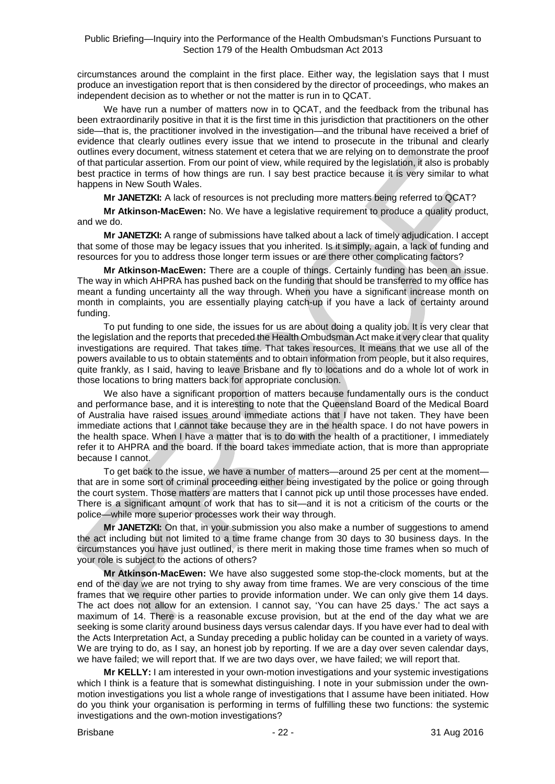circumstances around the complaint in the first place. Either way, the legislation says that I must produce an investigation report that is then considered by the director of proceedings, who makes an independent decision as to whether or not the matter is run in to QCAT.

We have run a number of matters now in to QCAT, and the feedback from the tribunal has been extraordinarily positive in that it is the first time in this jurisdiction that practitioners on the other side—that is, the practitioner involved in the investigation—and the tribunal have received a brief of evidence that clearly outlines every issue that we intend to prosecute in the tribunal and clearly outlines every document, witness statement et cetera that we are relying on to demonstrate the proof of that particular assertion. From our point of view, while required by the legislation, it also is probably best practice in terms of how things are run. I say best practice because it is very similar to what happens in New South Wales.

**Mr JANETZKI:** A lack of resources is not precluding more matters being referred to QCAT?

**Mr Atkinson-MacEwen:** No. We have a legislative requirement to produce a quality product, and we do.

**Mr JANETZKI:** A range of submissions have talked about a lack of timely adjudication. I accept that some of those may be legacy issues that you inherited. Is it simply, again, a lack of funding and resources for you to address those longer term issues or are there other complicating factors?

**Mr Atkinson-MacEwen:** There are a couple of things. Certainly funding has been an issue. The way in which AHPRA has pushed back on the funding that should be transferred to my office has meant a funding uncertainty all the way through. When you have a significant increase month on month in complaints, you are essentially playing catch-up if you have a lack of certainty around funding.

To put funding to one side, the issues for us are about doing a quality job. It is very clear that the legislation and the reports that preceded the Health Ombudsman Act make it very clear that quality investigations are required. That takes time. That takes resources. It means that we use all of the powers available to us to obtain statements and to obtain information from people, but it also requires, quite frankly, as I said, having to leave Brisbane and fly to locations and do a whole lot of work in those locations to bring matters back for appropriate conclusion.

We also have a significant proportion of matters because fundamentally ours is the conduct and performance base, and it is interesting to note that the Queensland Board of the Medical Board of Australia have raised issues around immediate actions that I have not taken. They have been immediate actions that I cannot take because they are in the health space. I do not have powers in the health space. When I have a matter that is to do with the health of a practitioner, I immediately refer it to AHPRA and the board. If the board takes immediate action, that is more than appropriate because I cannot.

To get back to the issue, we have a number of matters—around 25 per cent at the moment that are in some sort of criminal proceeding either being investigated by the police or going through the court system. Those matters are matters that I cannot pick up until those processes have ended. There is a significant amount of work that has to sit—and it is not a criticism of the courts or the police—while more superior processes work their way through.

**Mr JANETZKI:** On that, in your submission you also make a number of suggestions to amend the act including but not limited to a time frame change from 30 days to 30 business days. In the circumstances you have just outlined, is there merit in making those time frames when so much of your role is subject to the actions of others?

**Mr Atkinson-MacEwen:** We have also suggested some stop-the-clock moments, but at the end of the day we are not trying to shy away from time frames. We are very conscious of the time frames that we require other parties to provide information under. We can only give them 14 days. The act does not allow for an extension. I cannot say, 'You can have 25 days.' The act says a maximum of 14. There is a reasonable excuse provision, but at the end of the day what we are seeking is some clarity around business days versus calendar days. If you have ever had to deal with the Acts Interpretation Act, a Sunday preceding a public holiday can be counted in a variety of ways. We are trying to do, as I say, an honest job by reporting. If we are a day over seven calendar days, we have failed; we will report that. If we are two days over, we have failed; we will report that.

**Mr KELLY:** I am interested in your own-motion investigations and your systemic investigations which I think is a feature that is somewhat distinguishing. I note in your submission under the ownmotion investigations you list a whole range of investigations that I assume have been initiated. How do you think your organisation is performing in terms of fulfilling these two functions: the systemic investigations and the own-motion investigations?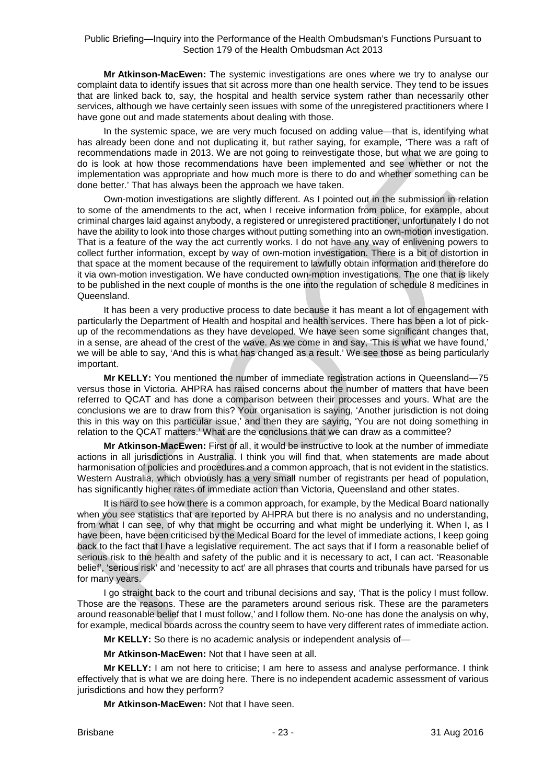**Mr Atkinson-MacEwen:** The systemic investigations are ones where we try to analyse our complaint data to identify issues that sit across more than one health service. They tend to be issues that are linked back to, say, the hospital and health service system rather than necessarily other services, although we have certainly seen issues with some of the unregistered practitioners where I have gone out and made statements about dealing with those.

In the systemic space, we are very much focused on adding value—that is, identifying what has already been done and not duplicating it, but rather saying, for example, 'There was a raft of recommendations made in 2013. We are not going to reinvestigate those, but what we are going to do is look at how those recommendations have been implemented and see whether or not the implementation was appropriate and how much more is there to do and whether something can be done better.' That has always been the approach we have taken.

Own-motion investigations are slightly different. As I pointed out in the submission in relation to some of the amendments to the act, when I receive information from police, for example, about criminal charges laid against anybody, a registered or unregistered practitioner, unfortunately I do not have the ability to look into those charges without putting something into an own-motion investigation. That is a feature of the way the act currently works. I do not have any way of enlivening powers to collect further information, except by way of own-motion investigation. There is a bit of distortion in that space at the moment because of the requirement to lawfully obtain information and therefore do it via own-motion investigation. We have conducted own-motion investigations. The one that is likely to be published in the next couple of months is the one into the regulation of schedule 8 medicines in Queensland.

It has been a very productive process to date because it has meant a lot of engagement with particularly the Department of Health and hospital and health services. There has been a lot of pickup of the recommendations as they have developed. We have seen some significant changes that, in a sense, are ahead of the crest of the wave. As we come in and say, 'This is what we have found,' we will be able to say, 'And this is what has changed as a result.' We see those as being particularly important.

**Mr KELLY:** You mentioned the number of immediate registration actions in Queensland—75 versus those in Victoria. AHPRA has raised concerns about the number of matters that have been referred to QCAT and has done a comparison between their processes and yours. What are the conclusions we are to draw from this? Your organisation is saying, 'Another jurisdiction is not doing this in this way on this particular issue,' and then they are saying, 'You are not doing something in relation to the QCAT matters.' What are the conclusions that we can draw as a committee?

**Mr Atkinson-MacEwen:** First of all, it would be instructive to look at the number of immediate actions in all jurisdictions in Australia. I think you will find that, when statements are made about harmonisation of policies and procedures and a common approach, that is not evident in the statistics. Western Australia, which obviously has a very small number of registrants per head of population, has significantly higher rates of immediate action than Victoria, Queensland and other states.

It is hard to see how there is a common approach, for example, by the Medical Board nationally when you see statistics that are reported by AHPRA but there is no analysis and no understanding, from what I can see, of why that might be occurring and what might be underlying it. When I, as I have been, have been criticised by the Medical Board for the level of immediate actions, I keep going back to the fact that I have a legislative requirement. The act says that if I form a reasonable belief of serious risk to the health and safety of the public and it is necessary to act, I can act. 'Reasonable belief', 'serious risk' and 'necessity to act' are all phrases that courts and tribunals have parsed for us for many years.

I go straight back to the court and tribunal decisions and say, 'That is the policy I must follow. Those are the reasons. These are the parameters around serious risk. These are the parameters around reasonable belief that I must follow,' and I follow them. No-one has done the analysis on why, for example, medical boards across the country seem to have very different rates of immediate action.

**Mr KELLY:** So there is no academic analysis or independent analysis of—

**Mr Atkinson-MacEwen:** Not that I have seen at all.

**Mr KELLY:** I am not here to criticise; I am here to assess and analyse performance. I think effectively that is what we are doing here. There is no independent academic assessment of various jurisdictions and how they perform?

**Mr Atkinson-MacEwen:** Not that I have seen.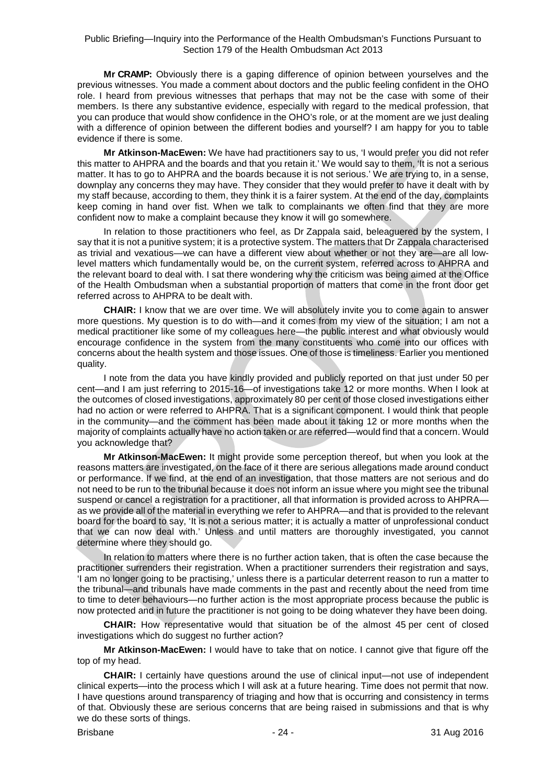**Mr CRAMP:** Obviously there is a gaping difference of opinion between yourselves and the previous witnesses. You made a comment about doctors and the public feeling confident in the OHO role. I heard from previous witnesses that perhaps that may not be the case with some of their members. Is there any substantive evidence, especially with regard to the medical profession, that you can produce that would show confidence in the OHO's role, or at the moment are we just dealing with a difference of opinion between the different bodies and yourself? I am happy for you to table evidence if there is some.

**Mr Atkinson-MacEwen:** We have had practitioners say to us, 'I would prefer you did not refer this matter to AHPRA and the boards and that you retain it.' We would say to them, 'It is not a serious matter. It has to go to AHPRA and the boards because it is not serious.' We are trying to, in a sense, downplay any concerns they may have. They consider that they would prefer to have it dealt with by my staff because, according to them, they think it is a fairer system. At the end of the day, complaints keep coming in hand over fist. When we talk to complainants we often find that they are more confident now to make a complaint because they know it will go somewhere.

In relation to those practitioners who feel, as Dr Zappala said, beleaguered by the system, I say that it is not a punitive system; it is a protective system. The matters that Dr Zappala characterised as trivial and vexatious—we can have a different view about whether or not they are—are all lowlevel matters which fundamentally would be, on the current system, referred across to AHPRA and the relevant board to deal with. I sat there wondering why the criticism was being aimed at the Office of the Health Ombudsman when a substantial proportion of matters that come in the front door get referred across to AHPRA to be dealt with.

**CHAIR:** I know that we are over time. We will absolutely invite you to come again to answer more questions. My question is to do with—and it comes from my view of the situation; I am not a medical practitioner like some of my colleagues here—the public interest and what obviously would encourage confidence in the system from the many constituents who come into our offices with concerns about the health system and those issues. One of those is timeliness. Earlier you mentioned quality.

I note from the data you have kindly provided and publicly reported on that just under 50 per cent—and I am just referring to 2015-16—of investigations take 12 or more months. When I look at the outcomes of closed investigations, approximately 80 per cent of those closed investigations either had no action or were referred to AHPRA. That is a significant component. I would think that people in the community—and the comment has been made about it taking 12 or more months when the majority of complaints actually have no action taken or are referred—would find that a concern. Would you acknowledge that?

**Mr Atkinson-MacEwen:** It might provide some perception thereof, but when you look at the reasons matters are investigated, on the face of it there are serious allegations made around conduct or performance. If we find, at the end of an investigation, that those matters are not serious and do not need to be run to the tribunal because it does not inform an issue where you might see the tribunal suspend or cancel a registration for a practitioner, all that information is provided across to AHPRA as we provide all of the material in everything we refer to AHPRA—and that is provided to the relevant board for the board to say, 'It is not a serious matter; it is actually a matter of unprofessional conduct that we can now deal with.' Unless and until matters are thoroughly investigated, you cannot determine where they should go.

In relation to matters where there is no further action taken, that is often the case because the practitioner surrenders their registration. When a practitioner surrenders their registration and says, 'I am no longer going to be practising,' unless there is a particular deterrent reason to run a matter to the tribunal—and tribunals have made comments in the past and recently about the need from time to time to deter behaviours—no further action is the most appropriate process because the public is now protected and in future the practitioner is not going to be doing whatever they have been doing.

**CHAIR:** How representative would that situation be of the almost 45 per cent of closed investigations which do suggest no further action?

**Mr Atkinson-MacEwen:** I would have to take that on notice. I cannot give that figure off the top of my head.

**CHAIR:** I certainly have questions around the use of clinical input—not use of independent clinical experts—into the process which I will ask at a future hearing. Time does not permit that now. I have questions around transparency of triaging and how that is occurring and consistency in terms of that. Obviously these are serious concerns that are being raised in submissions and that is why we do these sorts of things.